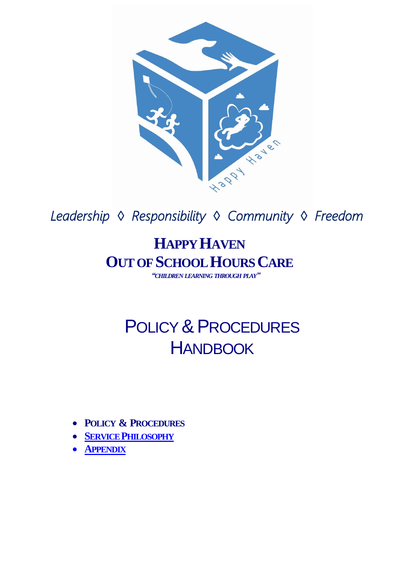

 *Leadership ◊ Responsibility ◊ Community ◊ Freedom* 

## **HAPPY HAVEN OUT OF SCHOOL HOURS CARE**

*"CHILDREN LEARNING THROUGH PLAY"*

## POLICY & PROCEDURES **HANDBOOK**

- **POLICY & PROCEDURES**
- **SERVICE P[HILOSOPHY](Hyperlinks/Happy%20Haven%20PHILOSOPHY.pdf)**
- **A[PPENDIX](Hyperlinks/Appendix%20cover%202012.pdf)**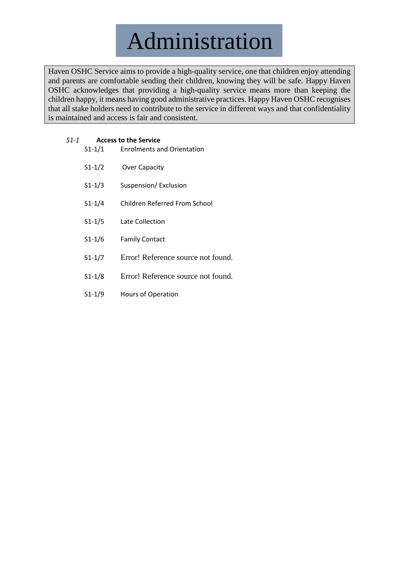Administration

Haven OSHC Service aims to provide a high-quality service, one that children enjoy attending and parents are comfortable sending their children, knowing they will be safe. Happy Haven OSHC acknowledges that providing a high-quality service means more than keeping the children happy, it means having good administrative practices. Happy Haven OSHC recognises that all stake holders need to contribute to the service in different ways and that confidentiality is maintained and access is fair and consistent.

| S1-1 | <b>Access to the Service</b> |                                   |
|------|------------------------------|-----------------------------------|
|      | $S1 - 1/1$                   | <b>Enrolments and Orientation</b> |
|      | $S1 - 1/2$                   | Over Capacity                     |
|      | $S1 - 1/3$                   | Suspension/Exclusion              |
|      | $S1 - 1/4$                   | Children Referred From School     |

- S1-1/5 [Late Collection](#page-8-0)
- S1-1/6 [Family Contact](#page-9-0)
- S1-1/7 Error! Reference source not found.
- S1-1/8 Error! Reference source not found.
- S1-1/9 [Hours of Operation](#page-11-0)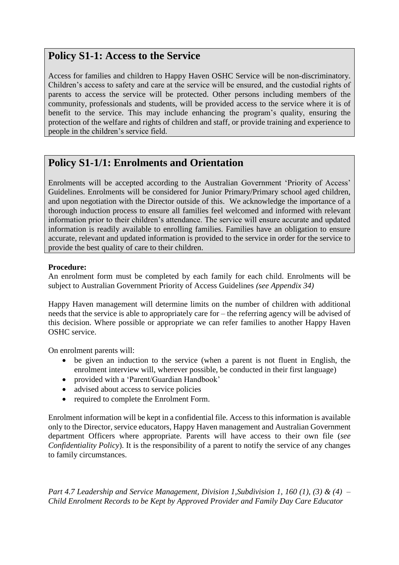## <span id="page-2-0"></span>**Policy S1-1: Access to the Service**

Access for families and children to Happy Haven OSHC Service will be non-discriminatory. Children's access to safety and care at the service will be ensured, and the custodial rights of parents to access the service will be protected. Other persons including members of the community, professionals and students, will be provided access to the service where it is of benefit to the service. This may include enhancing the program's quality, ensuring the protection of the welfare and rights of children and staff, or provide training and experience to people in the children's service field.

## <span id="page-2-1"></span>**Policy S1-1/1: Enrolments and Orientation**

Enrolments will be accepted according to the Australian Government 'Priority of Access' Guidelines. Enrolments will be considered for Junior Primary/Primary school aged children, and upon negotiation with the Director outside of this. We acknowledge the importance of a thorough induction process to ensure all families feel welcomed and informed with relevant information prior to their children's attendance. The service will ensure accurate and updated information is readily available to enrolling families. Families have an obligation to ensure accurate, relevant and updated information is provided to the service in order for the service to provide the best quality of care to their children.

#### **Procedure:**

An enrolment form must be completed by each family for each child. Enrolments will be subject to Australian Government Priority of Access Guidelines *(see Appendix 34)*

Happy Haven management will determine limits on the number of children with additional needs that the service is able to appropriately care for – the referring agency will be advised of this decision. Where possible or appropriate we can refer families to another Happy Haven OSHC service.

On enrolment parents will:

- be given an induction to the service (when a parent is not fluent in English, the enrolment interview will, wherever possible, be conducted in their first language)
- provided with a 'Parent/Guardian Handbook'
- advised about access to service policies
- required to complete the Enrolment Form.

Enrolment information will be kept in a confidential file. Access to this information is available only to the Director, service educators, Happy Haven management and Australian Government department Officers where appropriate. Parents will have access to their own file (*see Confidentiality Policy*). It is the responsibility of a parent to notify the service of any changes to family circumstances.

*Part 4.7 Leadership and Service Management, Division 1, Subdivision 1, 160 (1), (3) & (4) – Child Enrolment Records to be Kept by Approved Provider and Family Day Care Educator*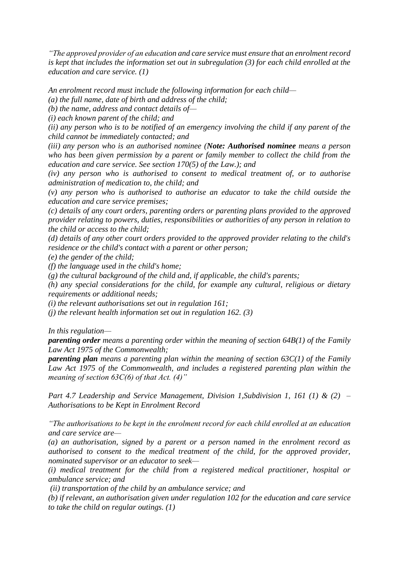*"The approved provider of an education and care service must ensure that an enrolment record is kept that includes the information set out in subregulation (3) for each child enrolled at the education and care service. (1)*

*An enrolment record must include the following information for each child—*

*(a) the full name, date of birth and address of the child;*

*(b) the name, address and contact details of—*

*(i) each known parent of the child; and*

*(ii) any person who is to be notified of an emergency involving the child if any parent of the child cannot be immediately contacted; and*

*(iii) any person who is an authorised nominee (Note: Authorised nominee means a person who has been given permission by a parent or family member to collect the child from the education and care service. See section 170(5) of the Law.); and*

*(iv) any person who is authorised to consent to medical treatment of, or to authorise administration of medication to, the child; and*

*(v) any person who is authorised to authorise an educator to take the child outside the education and care service premises;*

*(c) details of any court orders, parenting orders or parenting plans provided to the approved provider relating to powers, duties, responsibilities or authorities of any person in relation to the child or access to the child;*

*(d) details of any other court orders provided to the approved provider relating to the child's residence or the child's contact with a parent or other person;*

*(e) the gender of the child;*

*(f) the language used in the child's home;*

*(g) the cultural background of the child and, if applicable, the child's parents;*

*(h) any special considerations for the child, for example any cultural, religious or dietary requirements or additional needs;*

*(i) the relevant authorisations set out in regulation 161;*

*(j) the relevant health information set out in regulation 162. (3)*

*In this regulation—*

*parenting order means a parenting order within the meaning of section 64B(1) of the Family Law Act 1975 of the Commonwealth;*

*parenting plan means a parenting plan within the meaning of section 63C(1) of the Family Law Act 1975 of the Commonwealth, and includes a registered parenting plan within the meaning of section 63C(6) of that Act. (4)"*

*Part 4.7 Leadership and Service Management, Division 1, Subdivision 1, 161 (1) & (2) – Authorisations to be Kept in Enrolment Record*

*"The authorisations to be kept in the enrolment record for each child enrolled at an education and care service are—*

*(a) an authorisation, signed by a parent or a person named in the enrolment record as authorised to consent to the medical treatment of the child, for the approved provider, nominated supervisor or an educator to seek—*

*(i) medical treatment for the child from a registered medical practitioner, hospital or ambulance service; and*

*(ii) transportation of the child by an ambulance service; and*

*(b) if relevant, an authorisation given under regulation 102 for the education and care service to take the child on regular outings. (1)*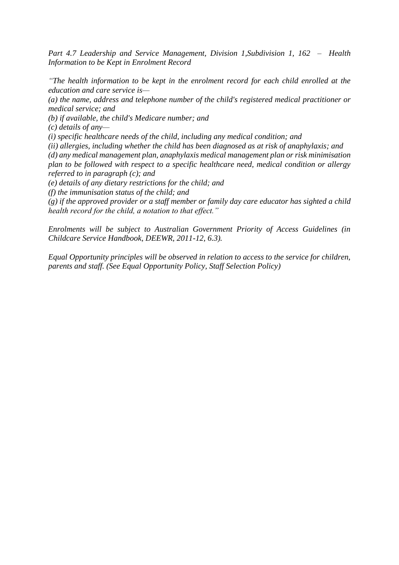Part 4.7 Leadership and Service Management, Division 1, Subdivision 1, 162 – Health *Information to be Kept in Enrolment Record*

*"The health information to be kept in the enrolment record for each child enrolled at the education and care service is—*

*(a) the name, address and telephone number of the child's registered medical practitioner or medical service; and*

*(b) if available, the child's Medicare number; and*

*(c) details of any—*

*(i) specific healthcare needs of the child, including any medical condition; and*

*(ii) allergies, including whether the child has been diagnosed as at risk of anaphylaxis; and (d) any medical management plan, anaphylaxis medical management plan or risk minimisation plan to be followed with respect to a specific healthcare need, medical condition or allergy referred to in paragraph (c); and*

*(e) details of any dietary restrictions for the child; and*

*(f) the immunisation status of the child; and*

*(g) if the approved provider or a staff member or family day care educator has sighted a child health record for the child, a notation to that effect."*

*Enrolments will be subject to Australian Government Priority of Access Guidelines (in Childcare Service Handbook, DEEWR, 2011-12, 6.3).* 

*Equal Opportunity principles will be observed in relation to access to the service for children, parents and staff. (See Equal Opportunity Policy, Staff Selection Policy)*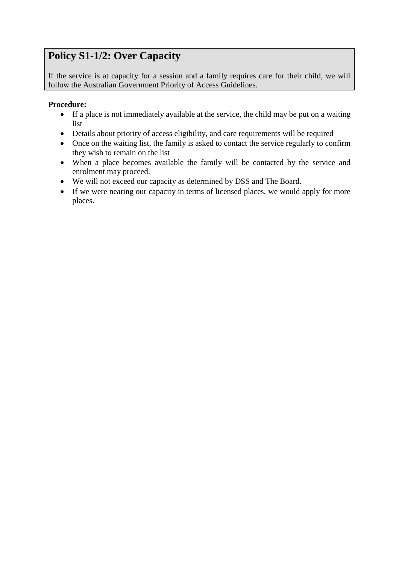## <span id="page-5-0"></span>**Policy S1-1/2: Over Capacity**

If the service is at capacity for a session and a family requires care for their child, we will follow the Australian Government Priority of Access Guidelines.

- If a place is not immediately available at the service, the child may be put on a waiting list
- Details about priority of access eligibility, and care requirements will be required
- Once on the waiting list, the family is asked to contact the service regularly to confirm they wish to remain on the list
- When a place becomes available the family will be contacted by the service and enrolment may proceed.
- We will not exceed our capacity as determined by DSS and The Board.
- If we were nearing our capacity in terms of licensed places, we would apply for more places.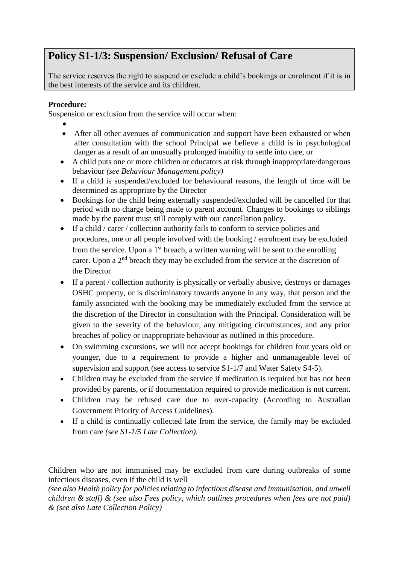## <span id="page-6-0"></span>**Policy S1-1/3: Suspension/ Exclusion/ Refusal of Care**

The service reserves the right to suspend or exclude a child's bookings or enrolment if it is in the best interests of the service and its children.

#### **Procedure:**

Suspension or exclusion from the service will occur when:

•

- After all other avenues of communication and support have been exhausted or when after consultation with the school Principal we believe a child is in psychological danger as a result of an unusually prolonged inability to settle into care, or
- A child puts one or more children or educators at risk through inappropriate/dangerous behaviour *(see Behaviour Management policy)*
- If a child is suspended/excluded for behavioural reasons, the length of time will be determined as appropriate by the Director
- Bookings for the child being externally suspended/excluded will be cancelled for that period with no charge being made to parent account. Changes to bookings to siblings made by the parent must still comply with our cancellation policy.
- If a child / carer / collection authority fails to conform to service policies and procedures, one or all people involved with the booking / enrolment may be excluded from the service. Upon a  $1<sup>st</sup>$  breach, a written warning will be sent to the enrolling carer. Upon a  $2<sup>nd</sup>$  breach they may be excluded from the service at the discretion of the Director
- If a parent / collection authority is physically or verbally abusive, destroys or damages OSHC property, or is discriminatory towards anyone in any way, that person and the family associated with the booking may be immediately excluded from the service at the discretion of the Director in consultation with the Principal. Consideration will be given to the severity of the behaviour, any mitigating circumstances, and any prior breaches of policy or inappropriate behaviour as outlined in this procedure.
- On swimming excursions, we will not accept bookings for children four years old or younger, due to a requirement to provide a higher and unmanageable level of supervision and support (see access to service S1-1/7 and Water Safety S4-5).
- Children may be excluded from the service if medication is required but has not been provided by parents, or if documentation required to provide medication is not current.
- Children may be refused care due to over-capacity (According to Australian Government Priority of Access Guidelines).
- If a child is continually collected late from the service, the family may be excluded from care *(see S1-1/5 Late Collection).*

Children who are not immunised may be excluded from care during outbreaks of some infectious diseases, even if the child is well

*(see also Health policy for policies relating to infectious disease and immunisation, and unwell children & staff) & (see also Fees policy, which outlines procedures when fees are not paid) & (see also Late Collection Policy)*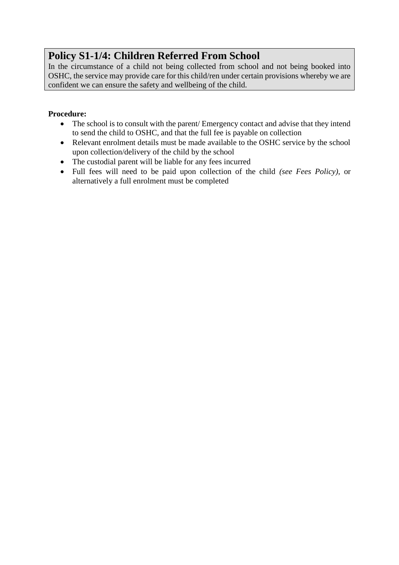## <span id="page-7-0"></span>**Policy S1-1/4: Children Referred From School**

In the circumstance of a child not being collected from school and not being booked into OSHC, the service may provide care for this child/ren under certain provisions whereby we are confident we can ensure the safety and wellbeing of the child.

- The school is to consult with the parent/ Emergency contact and advise that they intend to send the child to OSHC, and that the full fee is payable on collection
- Relevant enrolment details must be made available to the OSHC service by the school upon collection/delivery of the child by the school
- The custodial parent will be liable for any fees incurred
- Full fees will need to be paid upon collection of the child *(see Fees Policy)*, or alternatively a full enrolment must be completed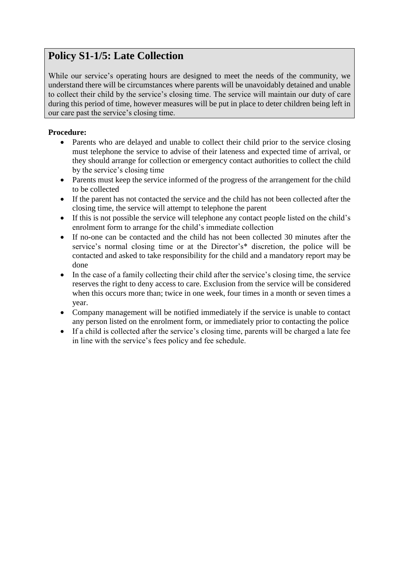## <span id="page-8-0"></span>**Policy S1-1/5: Late Collection**

While our service's operating hours are designed to meet the needs of the community, we understand there will be circumstances where parents will be unavoidably detained and unable to collect their child by the service's closing time. The service will maintain our duty of care during this period of time, however measures will be put in place to deter children being left in our care past the service's closing time.

- Parents who are delayed and unable to collect their child prior to the service closing must telephone the service to advise of their lateness and expected time of arrival, or they should arrange for collection or emergency contact authorities to collect the child by the service's closing time
- Parents must keep the service informed of the progress of the arrangement for the child to be collected
- If the parent has not contacted the service and the child has not been collected after the closing time, the service will attempt to telephone the parent
- If this is not possible the service will telephone any contact people listed on the child's enrolment form to arrange for the child's immediate collection
- If no-one can be contacted and the child has not been collected 30 minutes after the service's normal closing time or at the Director's\* discretion, the police will be contacted and asked to take responsibility for the child and a mandatory report may be done
- In the case of a family collecting their child after the service's closing time, the service reserves the right to deny access to care. Exclusion from the service will be considered when this occurs more than; twice in one week, four times in a month or seven times a year.
- Company management will be notified immediately if the service is unable to contact any person listed on the enrolment form, or immediately prior to contacting the police
- If a child is collected after the service's closing time, parents will be charged a late fee in line with the service's fees policy and fee schedule.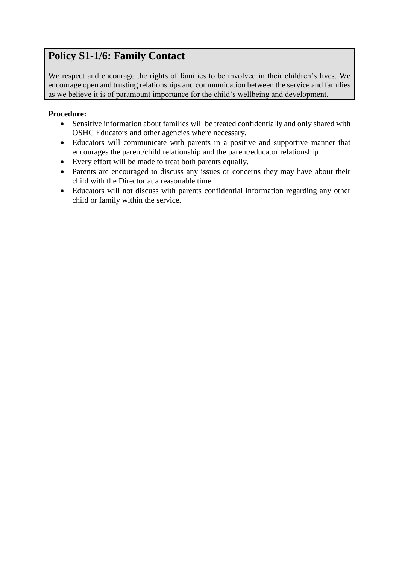## <span id="page-9-0"></span>**Policy S1-1/6: Family Contact**

We respect and encourage the rights of families to be involved in their children's lives. We encourage open and trusting relationships and communication between the service and families as we believe it is of paramount importance for the child's wellbeing and development.

- Sensitive information about families will be treated confidentially and only shared with OSHC Educators and other agencies where necessary.
- Educators will communicate with parents in a positive and supportive manner that encourages the parent/child relationship and the parent/educator relationship
- Every effort will be made to treat both parents equally.
- Parents are encouraged to discuss any issues or concerns they may have about their child with the Director at a reasonable time
- Educators will not discuss with parents confidential information regarding any other child or family within the service.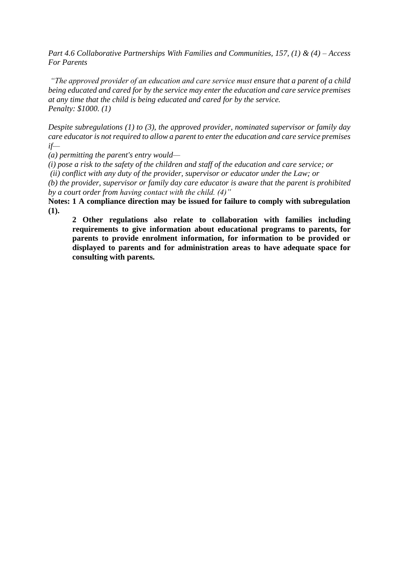*Part 4.6 Collaborative Partnerships With Families and Communities, 157, (1) & (4) – Access For Parents*

*"The approved provider of an education and care service must ensure that a parent of a child being educated and cared for by the service may enter the education and care service premises at any time that the child is being educated and cared for by the service. Penalty: \$1000. (1)*

*Despite subregulations (1) to (3), the approved provider, nominated supervisor or family day care educator is not required to allow a parent to enter the education and care service premises if—*

*(a) permitting the parent's entry would—*

*(i) pose a risk to the safety of the children and staff of the education and care service; or*

*(ii) conflict with any duty of the provider, supervisor or educator under the Law; or*

*(b) the provider, supervisor or family day care educator is aware that the parent is prohibited by a court order from having contact with the child. (4)"*

**Notes: 1 A compliance direction may be issued for failure to comply with subregulation (1).**

**2 Other regulations also relate to collaboration with families including requirements to give information about educational programs to parents, for parents to provide enrolment information, for information to be provided or displayed to parents and for administration areas to have adequate space for consulting with parents.**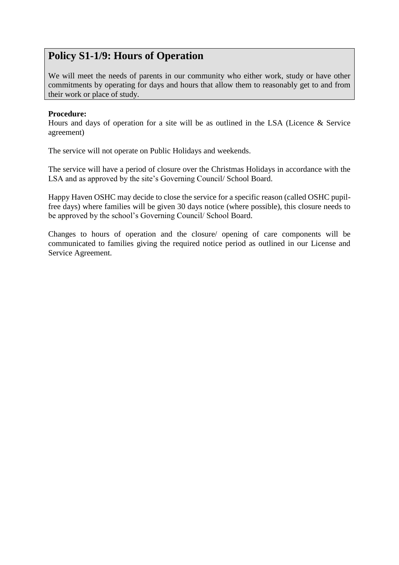## <span id="page-11-0"></span>**Policy S1-1/9: Hours of Operation**

We will meet the needs of parents in our community who either work, study or have other commitments by operating for days and hours that allow them to reasonably get to and from their work or place of study.

#### **Procedure:**

Hours and days of operation for a site will be as outlined in the LSA (Licence & Service agreement)

The service will not operate on Public Holidays and weekends.

The service will have a period of closure over the Christmas Holidays in accordance with the LSA and as approved by the site's Governing Council/ School Board.

Happy Haven OSHC may decide to close the service for a specific reason (called OSHC pupilfree days) where families will be given 30 days notice (where possible), this closure needs to be approved by the school's Governing Council/ School Board.

Changes to hours of operation and the closure/ opening of care components will be communicated to families giving the required notice period as outlined in our License and Service Agreement.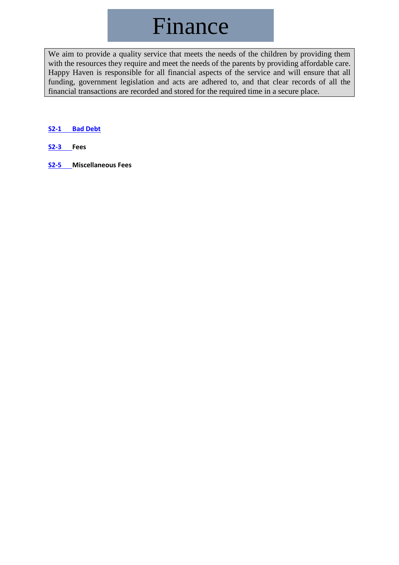## Finance

We aim to provide a quality service that meets the needs of the children by providing them with the resources they require and meet the needs of the parents by providing affordable care. Happy Haven is responsible for all financial aspects of the service and will ensure that all funding, government legislation and acts are adhered to, and that clear records of all the financial transactions are recorded and stored for the required time in a secure place.

#### <span id="page-12-0"></span>**S2-1 [Bad Debt](#page-12-0)**

- **S2-3 [Fees](#page-14-0)**
- **S2-5 [Miscellaneous Fees](#page-16-0)**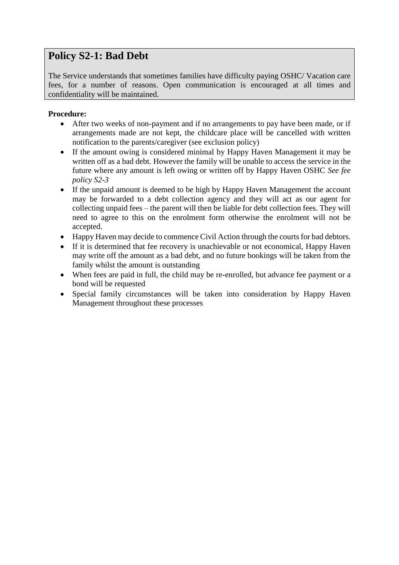## **Policy S2-1: Bad Debt**

The Service understands that sometimes families have difficulty paying OSHC/ Vacation care fees, for a number of reasons. Open communication is encouraged at all times and confidentiality will be maintained.

- After two weeks of non-payment and if no arrangements to pay have been made, or if arrangements made are not kept, the childcare place will be cancelled with written notification to the parents/caregiver (see exclusion policy)
- If the amount owing is considered minimal by Happy Haven Management it may be written off as a bad debt. However the family will be unable to access the service in the future where any amount is left owing or written off by Happy Haven OSHC *See fee policy S2-3*
- If the unpaid amount is deemed to be high by Happy Haven Management the account may be forwarded to a debt collection agency and they will act as our agent for collecting unpaid fees – the parent will then be liable for debt collection fees. They will need to agree to this on the enrolment form otherwise the enrolment will not be accepted.
- Happy Haven may decide to commence Civil Action through the courts for bad debtors.
- If it is determined that fee recovery is unachievable or not economical, Happy Haven may write off the amount as a bad debt, and no future bookings will be taken from the family whilst the amount is outstanding
- When fees are paid in full, the child may be re-enrolled, but advance fee payment or a bond will be requested
- Special family circumstances will be taken into consideration by Happy Haven Management throughout these processes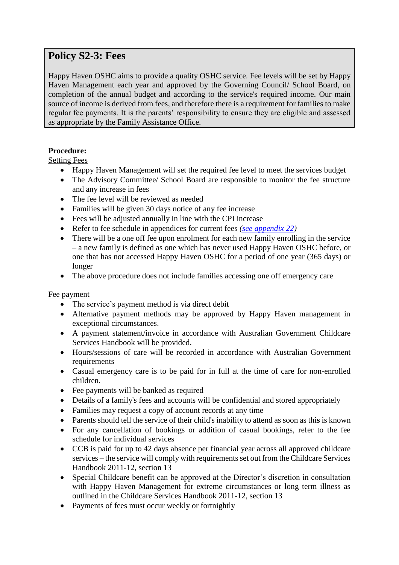## <span id="page-14-0"></span>**Policy S2-3: Fees**

Happy Haven OSHC aims to provide a quality OSHC service. Fee levels will be set by Happy Haven Management each year and approved by the Governing Council/ School Board, on completion of the annual budget and according to the service's required income. Our main source of income is derived from fees, and therefore there is a requirement for families to make regular fee payments. It is the parents' responsibility to ensure they are eligible and assessed as appropriate by the Family Assistance Office.

#### **Procedure:**

Setting Fees

- Happy Haven Management will set the required fee level to meet the services budget
- The Advisory Committee/ School Board are responsible to monitor the fee structure and any increase in fees
- The fee level will be reviewed as needed
- Families will be given 30 days notice of any fee increase
- Fees will be adjusted annually in line with the CPI increase
- Refer to fee schedule in appendices for current fees *[\(see appendix 22\)](../Appendix/Appendix%2022%20-%20Fee%20Schedule.docx)*
- There will be a one off fee upon enrolment for each new family enrolling in the service – a new family is defined as one which has never used Happy Haven OSHC before, or one that has not accessed Happy Haven OSHC for a period of one year (365 days) or longer
- The above procedure does not include families accessing one off emergency care

#### Fee payment

- The service's payment method is via direct debit
- Alternative payment methods may be approved by Happy Haven management in exceptional circumstances.
- A payment statement/invoice in accordance with Australian Government Childcare Services Handbook will be provided.
- Hours/sessions of care will be recorded in accordance with Australian Government requirements
- Casual emergency care is to be paid for in full at the time of care for non-enrolled children.
- Fee payments will be banked as required
- Details of a family's fees and accounts will be confidential and stored appropriately
- Families may request a copy of account records at any time
- Parents should tell the service of their child's inability to attend as soon as thi**s** is known
- For any cancellation of bookings or addition of casual bookings, refer to the fee schedule for individual services
- CCB is paid for up to 42 days absence per financial year across all approved childcare services – the service will comply with requirements set out from the Childcare Services Handbook 2011-12, section 13
- Special Childcare benefit can be approved at the Director's discretion in consultation with Happy Haven Management for extreme circumstances or long term illness as outlined in the Childcare Services Handbook 2011-12, section 13
- Payments of fees must occur weekly or fortnightly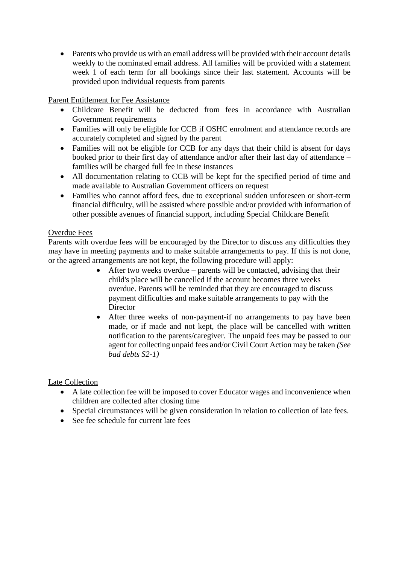• Parents who provide us with an email address will be provided with their account details weekly to the nominated email address. All families will be provided with a statement week 1 of each term for all bookings since their last statement. Accounts will be provided upon individual requests from parents

Parent Entitlement for Fee Assistance

- Childcare Benefit will be deducted from fees in accordance with Australian Government requirements
- Families will only be eligible for CCB if OSHC enrolment and attendance records are accurately completed and signed by the parent
- Families will not be eligible for CCB for any days that their child is absent for days booked prior to their first day of attendance and/or after their last day of attendance – families will be charged full fee in these instances
- All documentation relating to CCB will be kept for the specified period of time and made available to Australian Government officers on request
- Families who cannot afford fees, due to exceptional sudden unforeseen or short-term financial difficulty, will be assisted where possible and/or provided with information of other possible avenues of financial support, including Special Childcare Benefit

#### Overdue Fees

Parents with overdue fees will be encouraged by the Director to discuss any difficulties they may have in meeting payments and to make suitable arrangements to pay. If this is not done, or the agreed arrangements are not kept, the following procedure will apply:

- After two weeks overdue parents will be contacted, advising that their child's place will be cancelled if the account becomes three weeks overdue. Parents will be reminded that they are encouraged to discuss payment difficulties and make suitable arrangements to pay with the **Director**
- After three weeks of non-payment-if no arrangements to pay have been made, or if made and not kept, the place will be cancelled with written notification to the parents/caregiver. The unpaid fees may be passed to our agent for collecting unpaid fees and/or Civil Court Action may be taken *(See bad debts S2-1)*

#### Late Collection

- A late collection fee will be imposed to cover Educator wages and inconvenience when children are collected after closing time
- Special circumstances will be given consideration in relation to collection of late fees.
- See fee schedule for current late fees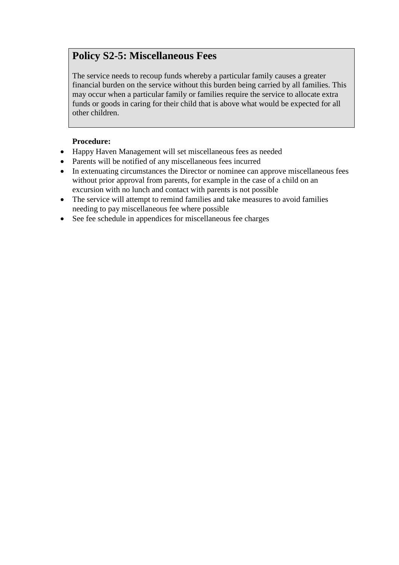## <span id="page-16-0"></span>**Policy S2-5: Miscellaneous Fees**

The service needs to recoup funds whereby a particular family causes a greater financial burden on the service without this burden being carried by all families. This may occur when a particular family or families require the service to allocate extra funds or goods in caring for their child that is above what would be expected for all other children.

- Happy Haven Management will set miscellaneous fees as needed
- Parents will be notified of any miscellaneous fees incurred
- In extenuating circumstances the Director or nominee can approve miscellaneous fees without prior approval from parents, for example in the case of a child on an excursion with no lunch and contact with parents is not possible
- The service will attempt to remind families and take measures to avoid families needing to pay miscellaneous fee where possible
- See fee schedule in appendices for miscellaneous fee charges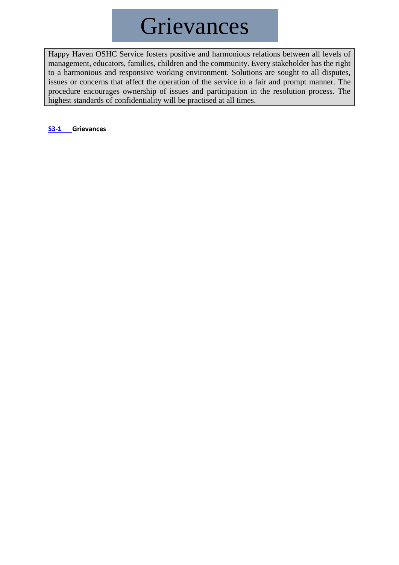# **Grievances**

Happy Haven OSHC Service fosters positive and harmonious relations between all levels of management, educators, families, children and the community. Every stakeholder has the right to a harmonious and responsive working environment. Solutions are sought to all disputes, issues or concerns that affect the operation of the service in a fair and prompt manner. The procedure encourages ownership of issues and participation in the resolution process. The highest standards of confidentiality will be practised at all times.

**S3-1 [Grievances](#page-18-0)**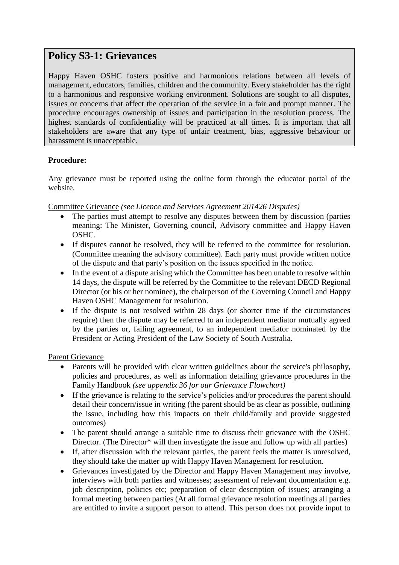### <span id="page-18-0"></span>**Policy S3-1: Grievances**

Happy Haven OSHC fosters positive and harmonious relations between all levels of management, educators, families, children and the community. Every stakeholder has the right to a harmonious and responsive working environment. Solutions are sought to all disputes, issues or concerns that affect the operation of the service in a fair and prompt manner. The procedure encourages ownership of issues and participation in the resolution process. The highest standards of confidentiality will be practiced at all times. It is important that all stakeholders are aware that any type of unfair treatment, bias, aggressive behaviour or harassment is unacceptable.

#### **Procedure:**

Any grievance must be reported using the online form through the educator portal of the website.

Committee Grievance *(see Licence and Services Agreement 201426 Disputes)*

- The parties must attempt to resolve any disputes between them by discussion (parties meaning: The Minister, Governing council, Advisory committee and Happy Haven OSHC.
- If disputes cannot be resolved, they will be referred to the committee for resolution. (Committee meaning the advisory committee). Each party must provide written notice of the dispute and that party's position on the issues specified in the notice.
- In the event of a dispute arising which the Committee has been unable to resolve within 14 days, the dispute will be referred by the Committee to the relevant DECD Regional Director (or his or her nominee), the chairperson of the Governing Council and Happy Haven OSHC Management for resolution.
- If the dispute is not resolved within 28 days (or shorter time if the circumstances require) then the dispute may be referred to an independent mediator mutually agreed by the parties or, failing agreement, to an independent mediator nominated by the President or Acting President of the Law Society of South Australia.

Parent Grievance

- Parents will be provided with clear written guidelines about the service's philosophy, policies and procedures, as well as information detailing grievance procedures in the Family Handbook *(see appendix 36 for our Grievance Flowchart)*
- If the grievance is relating to the service's policies and/or procedures the parent should detail their concern/issue in writing (the parent should be as clear as possible, outlining the issue, including how this impacts on their child/family and provide suggested outcomes)
- The parent should arrange a suitable time to discuss their grievance with the OSHC Director. (The Director\* will then investigate the issue and follow up with all parties)
- If, after discussion with the relevant parties, the parent feels the matter is unresolved. they should take the matter up with Happy Haven Management for resolution.
- Grievances investigated by the Director and Happy Haven Management may involve, interviews with both parties and witnesses; assessment of relevant documentation e.g. job description, policies etc; preparation of clear description of issues; arranging a formal meeting between parties (At all formal grievance resolution meetings all parties are entitled to invite a support person to attend. This person does not provide input to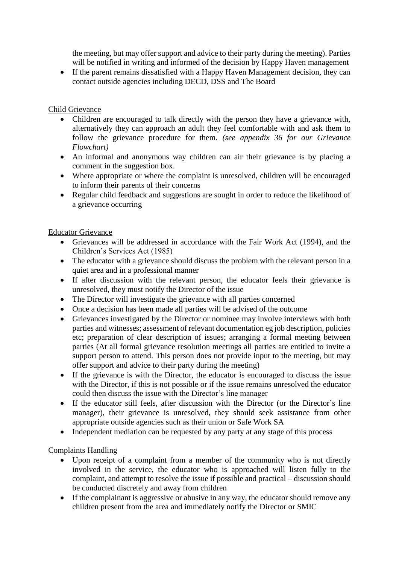the meeting, but may offer support and advice to their party during the meeting). Parties will be notified in writing and informed of the decision by Happy Haven management

• If the parent remains dissatisfied with a Happy Haven Management decision, they can contact outside agencies including DECD, DSS and The Board

#### Child Grievance

- Children are encouraged to talk directly with the person they have a grievance with, alternatively they can approach an adult they feel comfortable with and ask them to follow the grievance procedure for them. *(see appendix 36 for our Grievance Flowchart)*
- An informal and anonymous way children can air their grievance is by placing a comment in the suggestion box.
- Where appropriate or where the complaint is unresolved, children will be encouraged to inform their parents of their concerns
- Regular child feedback and suggestions are sought in order to reduce the likelihood of a grievance occurring

#### Educator Grievance

- Grievances will be addressed in accordance with the Fair Work Act (1994), and the Children's Services Act (1985)
- The educator with a grievance should discuss the problem with the relevant person in a quiet area and in a professional manner
- If after discussion with the relevant person, the educator feels their grievance is unresolved, they must notify the Director of the issue
- The Director will investigate the grievance with all parties concerned
- Once a decision has been made all parties will be advised of the outcome
- Grievances investigated by the Director or nominee may involve interviews with both parties and witnesses; assessment of relevant documentation eg job description, policies etc; preparation of clear description of issues; arranging a formal meeting between parties (At all formal grievance resolution meetings all parties are entitled to invite a support person to attend. This person does not provide input to the meeting, but may offer support and advice to their party during the meeting)
- If the grievance is with the Director, the educator is encouraged to discuss the issue with the Director, if this is not possible or if the issue remains unresolved the educator could then discuss the issue with the Director's line manager
- If the educator still feels, after discussion with the Director (or the Director's line manager), their grievance is unresolved, they should seek assistance from other appropriate outside agencies such as their union or Safe Work SA
- Independent mediation can be requested by any party at any stage of this process

#### Complaints Handling

- Upon receipt of a complaint from a member of the community who is not directly involved in the service, the educator who is approached will listen fully to the complaint, and attempt to resolve the issue if possible and practical – discussion should be conducted discretely and away from children
- If the complainant is aggressive or abusive in any way, the educator should remove any children present from the area and immediately notify the Director or SMIC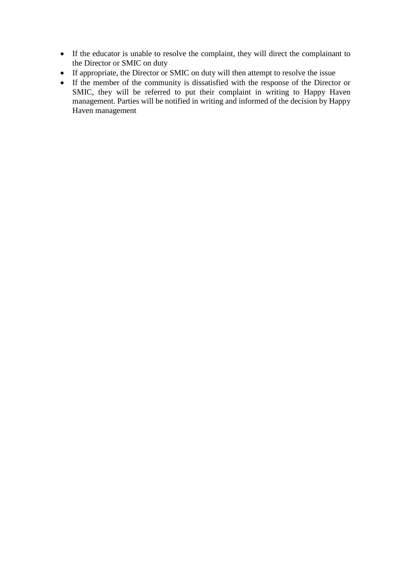- If the educator is unable to resolve the complaint, they will direct the complainant to the Director or SMIC on duty
- If appropriate, the Director or SMIC on duty will then attempt to resolve the issue
- If the member of the community is dissatisfied with the response of the Director or SMIC, they will be referred to put their complaint in writing to Happy Haven management. Parties will be notified in writing and informed of the decision by Happy Haven management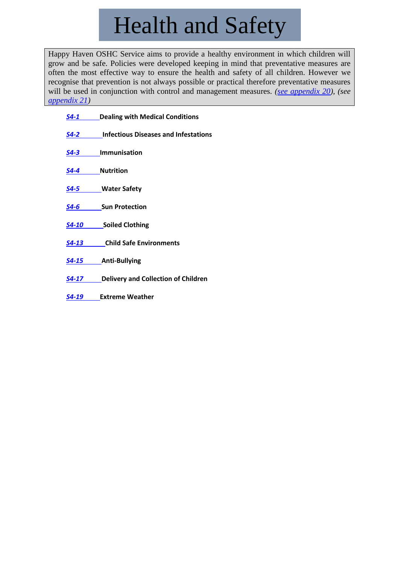# Health and Safety

Happy Haven OSHC Service aims to provide a healthy environment in which children will grow and be safe. Policies were developed keeping in mind that preventative measures are often the most effective way to ensure the health and safety of all children. However we recognise that prevention is not always possible or practical therefore preventative measures will be used in conjunction with control and management measures. *[\(see appendix 20\)](../Appendix/Appendix%2020%20-%20HSP_guidelines_final_text1.pdf), (see [appendix 21\)](../Appendix/Appendix%2021%20-%20EmergencyManagementAllHaz.pdf)*

*S4-1* **[Dealing with Medical Conditions](#page-22-0)** *S4-2* **[Infectious Diseases and Infestations](#page-28-0)** *S4-3* **[Immunisation](#page-31-0)** *S4-4* **[Nutrition](#page-32-0)** *S4-5* **[Water Safety](#page-34-0)** *S4-6* **[Sun Protection](#page-35-0)** *S4-10* **[Soiled Clothing](#page-36-0)** *S4-13* **[Child Safe Environments](#page-37-0)** *S4-15* **[Anti-Bullying](#page-38-0)** *S4-17* **[Delivery and Collection of Children](#page-40-0)**

*S4-19* **[Extreme Weather](#page-42-0)**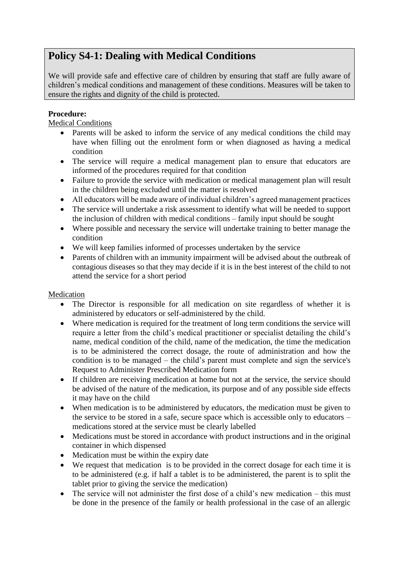## <span id="page-22-0"></span>**Policy S4-1: Dealing with Medical Conditions**

We will provide safe and effective care of children by ensuring that staff are fully aware of children's medical conditions and management of these conditions. Measures will be taken to ensure the rights and dignity of the child is protected.

#### **Procedure:**

Medical Conditions

- Parents will be asked to inform the service of any medical conditions the child may have when filling out the enrolment form or when diagnosed as having a medical condition
- The service will require a medical management plan to ensure that educators are informed of the procedures required for that condition
- Failure to provide the service with medication or medical management plan will result in the children being excluded until the matter is resolved
- All educators will be made aware of individual children's agreed management practices
- The service will undertake a risk assessment to identify what will be needed to support the inclusion of children with medical conditions – family input should be sought
- Where possible and necessary the service will undertake training to better manage the condition
- We will keep families informed of processes undertaken by the service
- Parents of children with an immunity impairment will be advised about the outbreak of contagious diseases so that they may decide if it is in the best interest of the child to not attend the service for a short period

#### Medication

- The Director is responsible for all medication on site regardless of whether it is administered by educators or self-administered by the child.
- Where medication is required for the treatment of long term conditions the service will require a letter from the child's medical practitioner or specialist detailing the child's name, medical condition of the child, name of the medication, the time the medication is to be administered the correct dosage, the route of administration and how the condition is to be managed – the child's parent must complete and sign the service's Request to Administer Prescribed Medication form
- If children are receiving medication at home but not at the service, the service should be advised of the nature of the medication, its purpose and of any possible side effects it may have on the child
- When medication is to be administered by educators, the medication must be given to the service to be stored in a safe, secure space which is accessible only to educators – medications stored at the service must be clearly labelled
- Medications must be stored in accordance with product instructions and in the original container in which dispensed
- Medication must be within the expiry date
- We request that medication is to be provided in the correct dosage for each time it is to be administered (e.g. if half a tablet is to be administered, the parent is to split the tablet prior to giving the service the medication)
- The service will not administer the first dose of a child's new medication this must be done in the presence of the family or health professional in the case of an allergic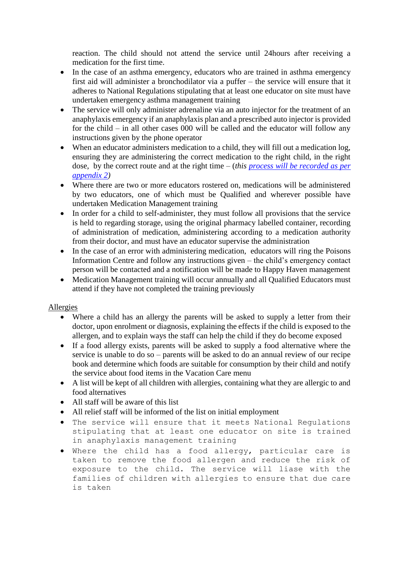reaction. The child should not attend the service until 24hours after receiving a medication for the first time.

- In the case of an asthma emergency, educators who are trained in asthma emergency first aid will administer a bronchodilator via a puffer – the service will ensure that it adheres to National Regulations stipulating that at least one educator on site must have undertaken emergency asthma management training
- The service will only administer adrenaline via an auto injector for the treatment of an anaphylaxis emergency if an anaphylaxis plan and a prescribed auto injector is provided for the child – in all other cases 000 will be called and the educator will follow any instructions given by the phone operator
- When an educator administers medication to a child, they will fill out a medication log, ensuring they are administering the correct medication to the right child, in the right dose, by the correct route and at the right time – (*this [process will be recorded as per](../Appendix/Appendix%202%20-%20Medication%20log.doc)  [appendix 2\)](../Appendix/Appendix%202%20-%20Medication%20log.doc)*
- Where there are two or more educators rostered on, medications will be administered by two educators, one of which must be Qualified and wherever possible have undertaken Medication Management training
- In order for a child to self-administer, they must follow all provisions that the service is held to regarding storage, using the original pharmacy labelled container, recording of administration of medication, administering according to a medication authority from their doctor, and must have an educator supervise the administration
- In the case of an error with administering medication, educators will ring the Poisons Information Centre and follow any instructions given – the child's emergency contact person will be contacted and a notification will be made to Happy Haven management
- Medication Management training will occur annually and all Qualified Educators must attend if they have not completed the training previously

#### Allergies

- Where a child has an allergy the parents will be asked to supply a letter from their doctor, upon enrolment or diagnosis, explaining the effects if the child is exposed to the allergen, and to explain ways the staff can help the child if they do become exposed
- If a food allergy exists, parents will be asked to supply a food alternative where the service is unable to do so – parents will be asked to do an annual review of our recipe book and determine which foods are suitable for consumption by their child and notify the service about food items in the Vacation Care menu
- A list will be kept of all children with allergies, containing what they are allergic to and food alternatives
- All staff will be aware of this list
- All relief staff will be informed of the list on initial employment
- The service will ensure that it meets National Regulations stipulating that at least one educator on site is trained in anaphylaxis management training
- Where the child has a food allergy, particular care is taken to remove the food allergen and reduce the risk of exposure to the child. The service will liase with the families of children with allergies to ensure that due care is taken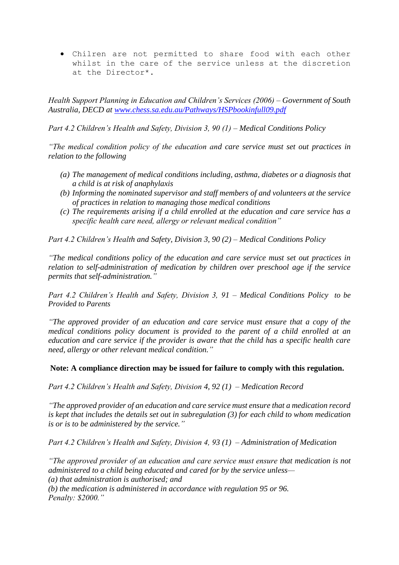• Chilren are not permitted to share food with each other whilst in the care of the service unless at the discretion at the Director\*.

*Health Support Planning in Education and Children's Services (2006) – Government of South Australia, DECD at [www.chess.sa.edu.au/Pathways/HSPbookinfull09.pdf](http://www.chess.sa.edu.au/Pathways/HSPbookinfull09.pdf)*

*Part 4.2 Children's Health and Safety, Division 3, 90 (1) – Medical Conditions Policy*

*"The medical condition policy of the education and care service must set out practices in relation to the following*

- *(a) The management of medical conditions including, asthma, diabetes or a diagnosis that a child is at risk of anaphylaxis*
- *(b) Informing the nominated supervisor and staff members of and volunteers at the service of practices in relation to managing those medical conditions*
- *(c) The requirements arising if a child enrolled at the education and care service has a specific health care need, allergy or relevant medical condition"*

*Part 4.2 Children's Health and Safety, Division 3, 90 (2) – Medical Conditions Policy*

*"The medical conditions policy of the education and care service must set out practices in relation to self-administration of medication by children over preschool age if the service permits that self-administration."*

*Part 4.2 Children's Health and Safety, Division 3, 91 – Medical Conditions Policy to be Provided to Parents*

*"The approved provider of an education and care service must ensure that a copy of the medical conditions policy document is provided to the parent of a child enrolled at an education and care service if the provider is aware that the child has a specific health care need, allergy or other relevant medical condition."*

**Note: A compliance direction may be issued for failure to comply with this regulation.**

*Part 4.2 Children's Health and Safety, Division 4, 92 (1) – Medication Record*

*"The approved provider of an education and care service must ensure that a medication record is kept that includes the details set out in subregulation (3) for each child to whom medication is or is to be administered by the service."*

*Part 4.2 Children's Health and Safety, Division 4, 93 (1) – Administration of Medication*

*"The approved provider of an education and care service must ensure that medication is not administered to a child being educated and cared for by the service unless— (a) that administration is authorised; and*

*(b) the medication is administered in accordance with regulation 95 or 96. Penalty: \$2000."*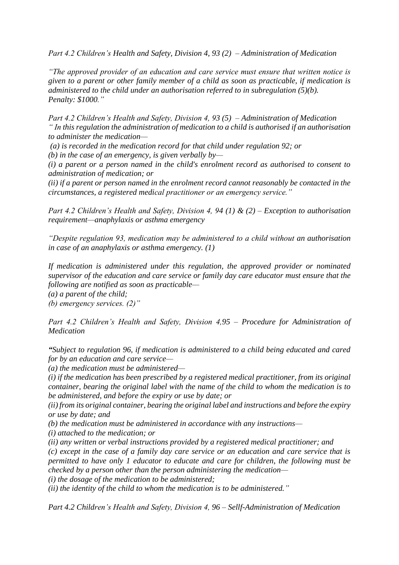*Part 4.2 Children's Health and Safety, Division 4, 93 (2) – Administration of Medication*

*"The approved provider of an education and care service must ensure that written notice is given to a parent or other family member of a child as soon as practicable, if medication is administered to the child under an authorisation referred to in subregulation (5)(b). Penalty: \$1000."*

*Part 4.2 Children's Health and Safety, Division 4, 93 (5) – Administration of Medication " In this regulation the administration of medication to a child is authorised if an authorisation to administer the medication—*

*(a) is recorded in the medication record for that child under regulation 92; or*

*(b) in the case of an emergency, is given verbally by—*

*(i) a parent or a person named in the child's enrolment record as authorised to consent to administration of medication; or*

*(ii) if a parent or person named in the enrolment record cannot reasonably be contacted in the circumstances, a registered medical practitioner or an emergency service."*

*Part 4.2 Children's Health and Safety, Division 4, 94 (1) & (2) – Exception to authorisation requirement—anaphylaxis or asthma emergency*

*"Despite regulation 93, medication may be administered to a child without an authorisation in case of an anaphylaxis or asthma emergency. (1)*

*If medication is administered under this regulation, the approved provider or nominated supervisor of the education and care service or family day care educator must ensure that the following are notified as soon as practicable—*

*(a) a parent of the child;*

*(b) emergency services. (2)"*

*Part 4.2 Children's Health and Safety, Division 4,95 – Procedure for Administration of Medication*

*"Subject to regulation 96, if medication is administered to a child being educated and cared for by an education and care service—*

*(a) the medication must be administered—*

*(i) if the medication has been prescribed by a registered medical practitioner, from its original container, bearing the original label with the name of the child to whom the medication is to be administered, and before the expiry or use by date; or*

*(ii) from its original container, bearing the original label and instructions and before the expiry or use by date; and*

*(b) the medication must be administered in accordance with any instructions—*

*(i) attached to the medication; or*

*(ii) any written or verbal instructions provided by a registered medical practitioner; and*

*(c) except in the case of a family day care service or an education and care service that is permitted to have only 1 educator to educate and care for children, the following must be checked by a person other than the person administering the medication—*

*(i) the dosage of the medication to be administered;*

*(ii) the identity of the child to whom the medication is to be administered."*

*Part 4.2 Children's Health and Safety, Division 4, 96 – Sellf-Administration of Medication*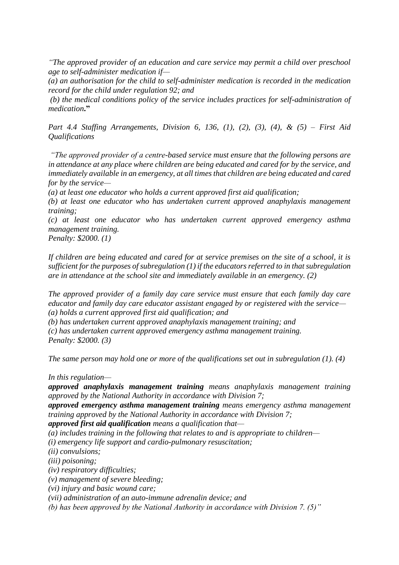*"The approved provider of an education and care service may permit a child over preschool age to self-administer medication if—*

*(a) an authorisation for the child to self-administer medication is recorded in the medication record for the child under regulation 92; and*

*(b) the medical conditions policy of the service includes practices for self-administration of medication***."**

*Part 4.4 Staffing Arrangements, Division 6, 136, (1), (2), (3), (4), & (5) – First Aid Qualifications*

*"The approved provider of a centre-based service must ensure that the following persons are in attendance at any place where children are being educated and cared for by the service, and immediately available in an emergency, at all times that children are being educated and cared for by the service—*

*(a) at least one educator who holds a current approved first aid qualification;*

*(b) at least one educator who has undertaken current approved anaphylaxis management training;*

*(c) at least one educator who has undertaken current approved emergency asthma management training.*

*Penalty: \$2000. (1)*

*If children are being educated and cared for at service premises on the site of a school, it is sufficient for the purposes of subregulation (1) if the educators referred to in that subregulation are in attendance at the school site and immediately available in an emergency. (2)*

*The approved provider of a family day care service must ensure that each family day care educator and family day care educator assistant engaged by or registered with the service— (a) holds a current approved first aid qualification; and*

*(b) has undertaken current approved anaphylaxis management training; and*

*(c) has undertaken current approved emergency asthma management training. Penalty: \$2000. (3)*

*The same person may hold one or more of the qualifications set out in subregulation (1). (4)*

*In this regulation—*

*approved anaphylaxis management training means anaphylaxis management training approved by the National Authority in accordance with Division 7;*

*approved emergency asthma management training means emergency asthma management training approved by the National Authority in accordance with Division 7;*

*approved first aid qualification means a qualification that—*

*(a) includes training in the following that relates to and is appropriate to children—*

*(i) emergency life support and cardio-pulmonary resuscitation;*

*(ii) convulsions;*

*(iii) poisoning;*

*(iv) respiratory difficulties;*

*(v) management of severe bleeding;*

*(vi) injury and basic wound care;*

*(vii) administration of an auto-immune adrenalin device; and*

*(b) has been approved by the National Authority in accordance with Division 7. (5)"*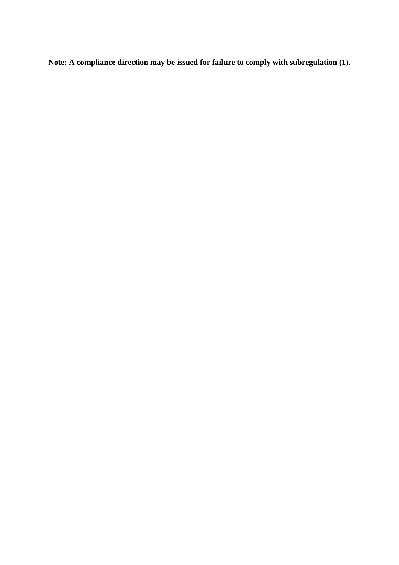**Note: A compliance direction may be issued for failure to comply with subregulation (1).**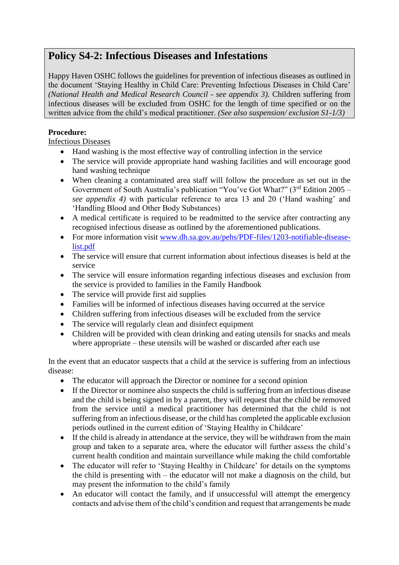## <span id="page-28-0"></span>**Policy S4-2: Infectious Diseases and Infestations**

Happy Haven OSHC follows the guidelines for prevention of infectious diseases as outlined in the document 'Staying Healthy in Child Care: Preventing Infectious Diseases in Child Care' *(National Health and Medical Research Council - see appendix 3).* Children suffering from infectious diseases will be excluded from OSHC for the length of time specified or on the written advice from the child's medical practitioner. *(See also suspension/ exclusion S1-1/3)*

#### **Procedure:**

Infectious Diseases

- Hand washing is the most effective way of controlling infection in the service
- The service will provide appropriate hand washing facilities and will encourage good hand washing technique
- When cleaning a contaminated area staff will follow the procedure as set out in the Government of South Australia's publication "You've Got What?" (3rd Edition 2005 – *see appendix 4)* with particular reference to area 13 and 20 ('Hand washing' and 'Handling Blood and Other Body Substances)
- A medical certificate is required to be readmitted to the service after contracting any recognised infectious disease as outlined by the aforementioned publications.
- For more information visit [www.dh.sa.gov.au/pehs/PDF-files/1203-notifiable-disease](http://www.dh.sa.gov.au/pehs/PDF-files/1203-notifiable-disease-list.pdf)[list.pdf](http://www.dh.sa.gov.au/pehs/PDF-files/1203-notifiable-disease-list.pdf)
- The service will ensure that current information about infectious diseases is held at the service
- The service will ensure information regarding infectious diseases and exclusion from the service is provided to families in the Family Handbook
- The service will provide first aid supplies
- Families will be informed of infectious diseases having occurred at the service
- Children suffering from infectious diseases will be excluded from the service
- The service will regularly clean and disinfect equipment
- Children will be provided with clean drinking and eating utensils for snacks and meals where appropriate – these utensils will be washed or discarded after each use

In the event that an educator suspects that a child at the service is suffering from an infectious disease:

- The educator will approach the Director or nominee for a second opinion
- If the Director or nominee also suspects the child is suffering from an infectious disease and the child is being signed in by a parent, they will request that the child be removed from the service until a medical practitioner has determined that the child is not suffering from an infectious disease, or the child has completed the applicable exclusion periods outlined in the current edition of 'Staying Healthy in Childcare'
- If the child is already in attendance at the service, they will be withdrawn from the main group and taken to a separate area, where the educator will further assess the child's current health condition and maintain surveillance while making the child comfortable
- The educator will refer to 'Staying Healthy in Childcare' for details on the symptoms the child is presenting with – the educator will not make a diagnosis on the child, but may present the information to the child's family
- An educator will contact the family, and if unsuccessful will attempt the emergency contacts and advise them of the child's condition and request that arrangements be made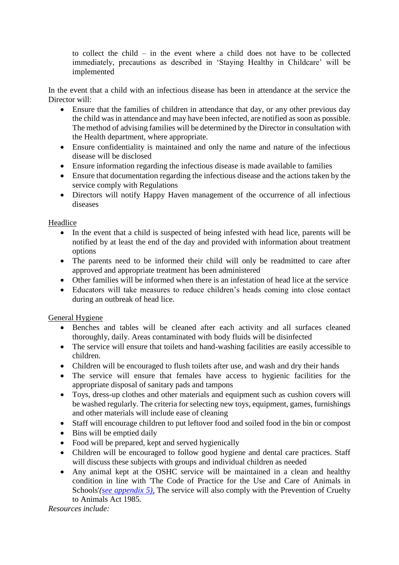to collect the child – in the event where a child does not have to be collected immediately, precautions as described in 'Staying Healthy in Childcare' will be implemented

In the event that a child with an infectious disease has been in attendance at the service the Director will:

- Ensure that the families of children in attendance that day, or any other previous day the child was in attendance and may have been infected, are notified as soon as possible. The method of advising families will be determined by the Director in consultation with the Health department, where appropriate.
- Ensure confidentiality is maintained and only the name and nature of the infectious disease will be disclosed
- Ensure information regarding the infectious disease is made available to families
- Ensure that documentation regarding the infectious disease and the actions taken by the service comply with Regulations
- Directors will notify Happy Haven management of the occurrence of all infectious diseases

#### Headlice

- In the event that a child is suspected of being infested with head lice, parents will be notified by at least the end of the day and provided with information about treatment options
- The parents need to be informed their child will only be readmitted to care after approved and appropriate treatment has been administered
- Other families will be informed when there is an infestation of head lice at the service
- Educators will take measures to reduce children's heads coming into close contact during an outbreak of head lice.

#### General Hygiene

- Benches and tables will be cleaned after each activity and all surfaces cleaned thoroughly, daily. Areas contaminated with body fluids will be disinfected
- The service will ensure that toilets and hand-washing facilities are easily accessible to children.
- Children will be encouraged to flush toilets after use, and wash and dry their hands
- The service will ensure that females have access to hygienic facilities for the appropriate disposal of sanitary pads and tampons
- Toys, dress-up clothes and other materials and equipment such as cushion covers will be washed regularly. The criteria for selecting new toys, equipment, games, furnishings and other materials will include ease of cleaning
- Staff will encourage children to put leftover food and soiled food in the bin or compost
- Bins will be emptied daily
- Food will be prepared, kept and served hygienically
- Children will be encouraged to follow good hygiene and dental care practices. Staff will discuss these subjects with groups and individual children as needed
- Any animal kept at the OSHC service will be maintained in a clean and healthy condition in line with 'The Code of Practice for the Use and Care of Animals in Schools'*[\(see appendix 5\)](../Appendix/Appendix%205%20-%20code%20of%20practice-%20use%20and%20care%20of%20animals%20in%20schools.pdf)*, The service will also comply with the Prevention of Cruelty to Animals Act 1985*.*

*Resources include:*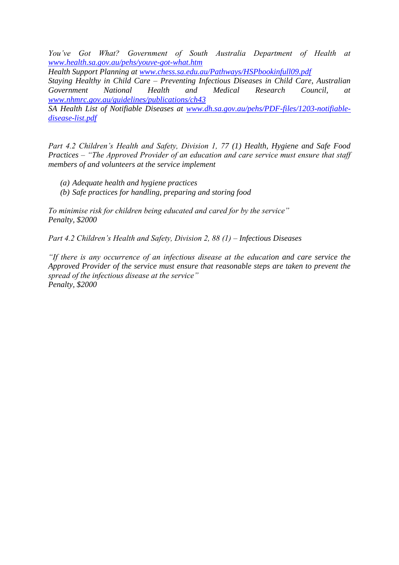*You've Got What? Government of South Australia Department of Health at [www.health.sa.gov.au/pehs/youve-got-what.htm](http://www.health.sa.gov.au/pehs/youve-got-what.htm)*

*Health Support Planning at [www.chess.sa.edu.au/Pathways/HSPbookinfull09.pdf](http://www.chess.sa.edu.au/Pathways/HSPbookinfull09.pdf) Staying Healthy in Child Care – Preventing Infectious Diseases in Child Care, Australian Government National Health and Medical Research Council, at [www.nhmrc.gov.au/guidelines/publications/ch43](http://www.nhmrc.gov.au/guidelines/publications/ch43)*

*SA Health List of Notifiable Diseases at [www.dh.sa.gov.au/pehs/PDF-files/1203-notifiable](http://www.dh.sa.gov.au/pehs/PDF-files/1203-notifiable-disease-list.pdf)[disease-list.pdf](http://www.dh.sa.gov.au/pehs/PDF-files/1203-notifiable-disease-list.pdf)*

*Part 4.2 Children's Health and Safety, Division 1, 77 (1) Health, Hygiene and Safe Food Practices – "The Approved Provider of an education and care service must ensure that staff members of and volunteers at the service implement*

- *(a) Adequate health and hygiene practices*
- *(b) Safe practices for handling, preparing and storing food*

*To minimise risk for children being educated and cared for by the service" Penalty, \$2000*

*Part 4.2 Children's Health and Safety, Division 2, 88 (1) – Infectious Diseases*

*"If there is any occurrence of an infectious disease at the education and care service the Approved Provider of the service must ensure that reasonable steps are taken to prevent the spread of the infectious disease at the service" Penalty, \$2000*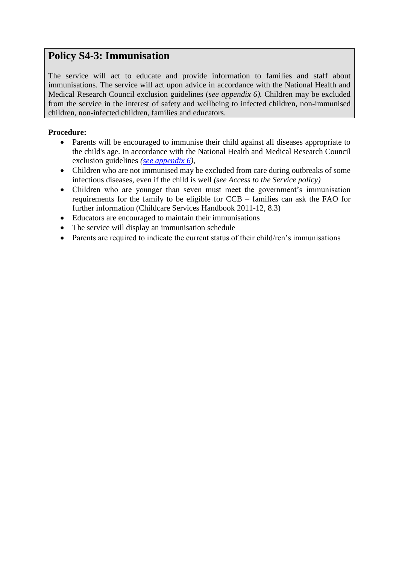### <span id="page-31-0"></span>**Policy S4-3: Immunisation**

The service will act to educate and provide information to families and staff about immunisations. The service will act upon advice in accordance with the National Health and Medical Research Council exclusion guidelines (*see appendix 6).* Children may be excluded from the service in the interest of safety and wellbeing to infected children, non-immunised children, non-infected children, families and educators.

- Parents will be encouraged to immunise their child against all diseases appropriate to the child's age. In accordance with the National Health and Medical Research Council exclusion guidelines *[\(see appendix 6\)](../Appendix/Appendix%206%20-%20exclusion_period_poster_130701.pdf)*,
- Children who are not immunised may be excluded from care during outbreaks of some infectious diseases, even if the child is well *(see Access to the Service policy)*
- Children who are younger than seven must meet the government's immunisation requirements for the family to be eligible for CCB – families can ask the FAO for further information (Childcare Services Handbook 2011-12, 8.3)
- Educators are encouraged to maintain their immunisations
- The service will display an immunisation schedule
- Parents are required to indicate the current status of their child/ren's immunisations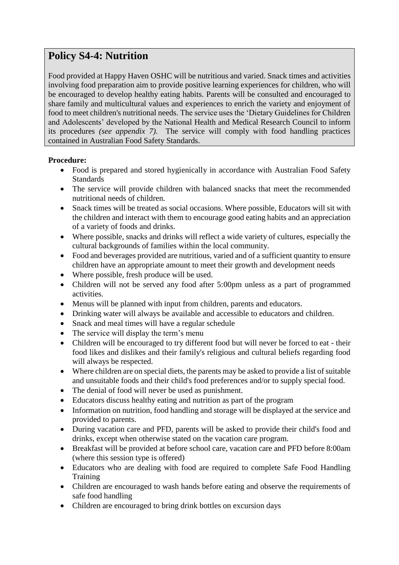## <span id="page-32-0"></span>**Policy S4-4: Nutrition**

Food provided at Happy Haven OSHC will be nutritious and varied. Snack times and activities involving food preparation aim to provide positive learning experiences for children, who will be encouraged to develop healthy eating habits. Parents will be consulted and encouraged to share family and multicultural values and experiences to enrich the variety and enjoyment of food to meet children's nutritional needs. The service uses the 'Dietary Guidelines for Children and Adolescents' developed by the National Health and Medical Research Council to inform its procedures *(see appendix 7)*. The service will comply with food handling practices contained in Australian Food Safety Standards.

- Food is prepared and stored hygienically in accordance with Australian Food Safety **Standards**
- The service will provide children with balanced snacks that meet the recommended nutritional needs of children.
- Snack times will be treated as social occasions. Where possible, Educators will sit with the children and interact with them to encourage good eating habits and an appreciation of a variety of foods and drinks.
- Where possible, snacks and drinks will reflect a wide variety of cultures, especially the cultural backgrounds of families within the local community.
- Food and beverages provided are nutritious, varied and of a sufficient quantity to ensure children have an appropriate amount to meet their growth and development needs
- Where possible, fresh produce will be used.
- Children will not be served any food after 5:00pm unless as a part of programmed activities.
- Menus will be planned with input from children, parents and educators.
- Drinking water will always be available and accessible to educators and children.
- Snack and meal times will have a regular schedule
- The service will display the term's menu
- Children will be encouraged to try different food but will never be forced to eat their food likes and dislikes and their family's religious and cultural beliefs regarding food will always be respected.
- Where children are on special diets, the parents may be asked to provide a list of suitable and unsuitable foods and their child's food preferences and/or to supply special food.
- The denial of food will never be used as punishment.
- Educators discuss healthy eating and nutrition as part of the program
- Information on nutrition, food handling and storage will be displayed at the service and provided to parents.
- During vacation care and PFD, parents will be asked to provide their child's food and drinks, except when otherwise stated on the vacation care program.
- Breakfast will be provided at before school care, vacation care and PFD before 8:00am (where this session type is offered)
- Educators who are dealing with food are required to complete Safe Food Handling Training
- Children are encouraged to wash hands before eating and observe the requirements of safe food handling
- Children are encouraged to bring drink bottles on excursion days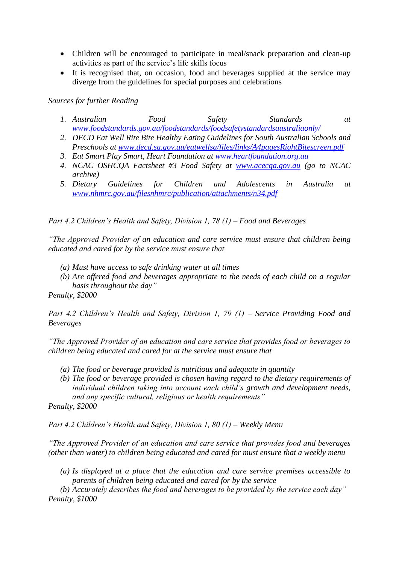- Children will be encouraged to participate in meal/snack preparation and clean-up activities as part of the service's life skills focus
- It is recognised that, on occasion, food and beverages supplied at the service may diverge from the guidelines for special purposes and celebrations

*Sources for further Reading*

- *1. Australian Food Safety Standards at [www.foodstandards.gov.au/foodstandards/foodsafetystandardsaustraliaonly/](http://www.foodstandards.gov.au/foodstandards/foodsafetystandardsaustraliaonly/)*
- *2. DECD Eat Well Rite Bite Healthy Eating Guidelines for South Australian Schools and Preschools at [www.decd.sa.gov.au/eatwellsa/files/links/A4pagesRightBitescreen.pdf](http://www.decd.sa.gov.au/eatwellsa/files/links/A4pagesRightBitescreen.pdf)*
- *3. Eat Smart Play Smart, Heart Foundation at [www.heartfoundation.org.au](http://www.heartfoundation.org.au/)*
- *4. NCAC OSHCQA Factsheet #3 Food Safety at [www.acecqa.gov.au](http://www.acecqa.gov.au/) (go to NCAC archive)*
- *5. Dietary Guidelines for Children and Adolescents in Australia at [www.nhmrc.gov.au/filesnhmrc/publication/attachments/n34.pdf](http://www.nhmrc.gov.au/filesnhmrc/publication/attachments/n34.pdf)*

*Part 4.2 Children's Health and Safety, Division 1, 78 (1) – Food and Beverages*

*"The Approved Provider of an education and care service must ensure that children being educated and cared for by the service must ensure that*

- *(a) Must have access to safe drinking water at all times*
- *(b) Are offered food and beverages appropriate to the needs of each child on a regular basis throughout the day"*

*Penalty, \$2000*

*Part 4.2 Children's Health and Safety, Division 1, 79 (1) – Service Providing Food and Beverages*

*"The Approved Provider of an education and care service that provides food or beverages to children being educated and cared for at the service must ensure that*

- *(a) The food or beverage provided is nutritious and adequate in quantity*
- *(b) The food or beverage provided is chosen having regard to the dietary requirements of individual children taking into account each child's growth and development needs, and any specific cultural, religious or health requirements"*

*Penalty, \$2000*

*Part 4.2 Children's Health and Safety, Division 1, 80 (1) – Weekly Menu*

*"The Approved Provider of an education and care service that provides food and beverages (other than water) to children being educated and cared for must ensure that a weekly menu*

*(a) Is displayed at a place that the education and care service premises accessible to parents of children being educated and cared for by the service*

*(b) Accurately describes the food and beverages to be provided by the service each day" Penalty, \$1000*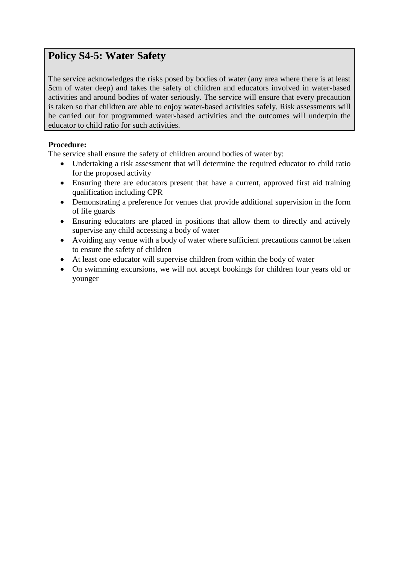## <span id="page-34-0"></span>**Policy S4-5: Water Safety**

The service acknowledges the risks posed by bodies of water (any area where there is at least 5cm of water deep) and takes the safety of children and educators involved in water-based activities and around bodies of water seriously. The service will ensure that every precaution is taken so that children are able to enjoy water-based activities safely. Risk assessments will be carried out for programmed water-based activities and the outcomes will underpin the educator to child ratio for such activities.

#### **Procedure:**

The service shall ensure the safety of children around bodies of water by:

- Undertaking a risk assessment that will determine the required educator to child ratio for the proposed activity
- Ensuring there are educators present that have a current, approved first aid training qualification including CPR
- Demonstrating a preference for venues that provide additional supervision in the form of life guards
- Ensuring educators are placed in positions that allow them to directly and actively supervise any child accessing a body of water
- Avoiding any venue with a body of water where sufficient precautions cannot be taken to ensure the safety of children
- At least one educator will supervise children from within the body of water
- On swimming excursions, we will not accept bookings for children four years old or younger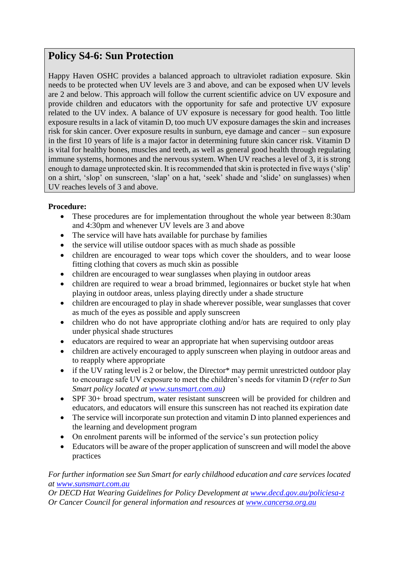## <span id="page-35-0"></span>**Policy S4-6: Sun Protection**

Happy Haven OSHC provides a balanced approach to ultraviolet radiation exposure. Skin needs to be protected when UV levels are 3 and above, and can be exposed when UV levels are 2 and below. This approach will follow the current scientific advice on UV exposure and provide children and educators with the opportunity for safe and protective UV exposure related to the UV index. A balance of UV exposure is necessary for good health. Too little exposure results in a lack of vitamin D, too much UV exposure damages the skin and increases risk for skin cancer. Over exposure results in sunburn, eye damage and cancer – sun exposure in the first 10 years of life is a major factor in determining future skin cancer risk. Vitamin D is vital for healthy bones, muscles and teeth, as well as general good health through regulating immune systems, hormones and the nervous system. When UV reaches a level of 3, it is strong enough to damage unprotected skin. It is recommended that skin is protected in five ways ('slip' on a shirt, 'slop' on sunscreen, 'slap' on a hat, 'seek' shade and 'slide' on sunglasses) when UV reaches levels of 3 and above.

#### **Procedure:**

- These procedures are for implementation throughout the whole year between 8:30am and 4:30pm and whenever UV levels are 3 and above
- The service will have hats available for purchase by families
- the service will utilise outdoor spaces with as much shade as possible
- children are encouraged to wear tops which cover the shoulders, and to wear loose fitting clothing that covers as much skin as possible
- children are encouraged to wear sunglasses when playing in outdoor areas
- children are required to wear a broad brimmed, legionnaires or bucket style hat when playing in outdoor areas, unless playing directly under a shade structure
- children are encouraged to play in shade wherever possible, wear sunglasses that cover as much of the eyes as possible and apply sunscreen
- children who do not have appropriate clothing and/or hats are required to only play under physical shade structures
- educators are required to wear an appropriate hat when supervising outdoor areas
- children are actively encouraged to apply sunscreen when playing in outdoor areas and to reapply where appropriate
- if the UV rating level is 2 or below, the Director<sup>\*</sup> may permit unrestricted outdoor play to encourage safe UV exposure to meet the children's needs for vitamin D (*refer to Sun Smart policy located at [www.sunsmart.com.au\)](http://www.sunsmart.com.au/)*
- SPF 30+ broad spectrum, water resistant sunscreen will be provided for children and educators, and educators will ensure this sunscreen has not reached its expiration date
- The service will incorporate sun protection and vitamin D into planned experiences and the learning and development program
- On enrolment parents will be informed of the service's sun protection policy
- Educators will be aware of the proper application of sunscreen and will model the above practices

#### *For further information see Sun Smart for early childhood education and care services located at [www.sunsmart.com.au](http://www.sunsmart.com.au/)*

*Or DECD Hat Wearing Guidelines for Policy Development at [www.decd.gov.au/policiesa-z](http://www.decd.gov.au/policiesa-z) Or Cancer Council for general information and resources at [www.cancersa.org.au](http://www.cancersa.org.au/)*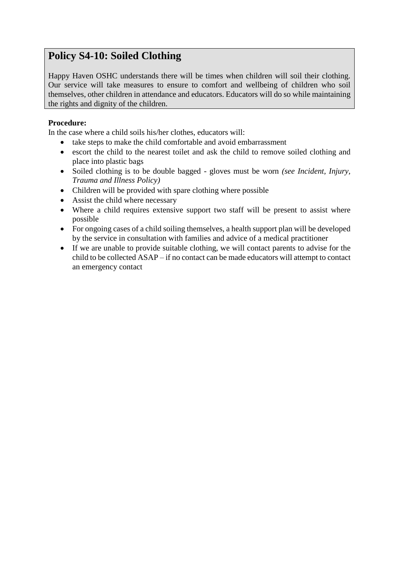## <span id="page-36-0"></span>**Policy S4-10: Soiled Clothing**

Happy Haven OSHC understands there will be times when children will soil their clothing. Our service will take measures to ensure to comfort and wellbeing of children who soil themselves, other children in attendance and educators. Educators will do so while maintaining the rights and dignity of the children.

#### **Procedure:**

In the case where a child soils his/her clothes, educators will:

- take steps to make the child comfortable and avoid embarrassment
- escort the child to the nearest toilet and ask the child to remove soiled clothing and place into plastic bags
- Soiled clothing is to be double bagged gloves must be worn *(see Incident, Injury, Trauma and Illness Policy)*
- Children will be provided with spare clothing where possible
- Assist the child where necessary
- Where a child requires extensive support two staff will be present to assist where possible
- For ongoing cases of a child soiling themselves, a health support plan will be developed by the service in consultation with families and advice of a medical practitioner
- If we are unable to provide suitable clothing, we will contact parents to advise for the child to be collected ASAP – if no contact can be made educators will attempt to contact an emergency contact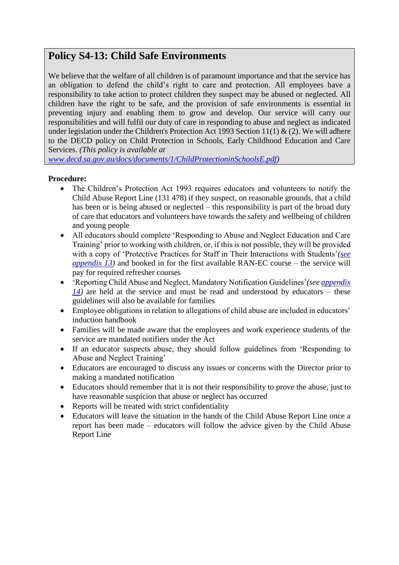## <span id="page-37-0"></span>**Policy S4-13: Child Safe Environments**

We believe that the welfare of all children is of paramount importance and that the service has an obligation to defend the child's right to care and protection. All employees have a responsibility to take action to protect children they suspect may be abused or neglected. All children have the right to be safe, and the provision of safe environments is essential in preventing injury and enabling them to grow and develop. Our service will carry our responsibilities and will fulfil our duty of care in responding to abuse and neglect as indicated under legislation under the Children's Protection Act 1993 Section 11(1)  $\&$  (2). We will adhere to the DECD policy on Child Protection in Schools, Early Childhood Education and Care Services. *(This policy is available at* 

*[www.decd.sa.gov.au/docs/documents/1/ChildProtectioninSchoolsE.pdf\)](http://www.decd.sa.gov.au/docs/documents/1/ChildProtectioninSchoolsE.pdf)*

- The Children's Protection Act 1993 requires educators and volunteers to notify the Child Abuse Report Line (131 478) if they suspect, on reasonable grounds, that a child has been or is being abused or neglected – this responsibility is part of the broad duty of care that educators and volunteers have towards the safety and wellbeing of children and young people
- All educators should complete 'Responding to Abuse and Neglect Education and Care Training' prior to working with children, or, if this is not possible, they will be provided with a copy of 'Protective Practices for Staff in Their Interactions with Students'*[\(see](../Appendix/Appendix%2013%20-%20ProtectivePracticesforSta.pdf)  [appendix](../Appendix/Appendix%2013%20-%20ProtectivePracticesforSta.pdf) 13)* and booked in for the first available RAN-EC course – the service will pay for required refresher courses
- 'Reporting Child Abuse and Neglect, Mandatory Notification Guidelines'*(se[e appendix](../Appendix/Appendix%2014%20-%20ConcernsChecklist.pdf)  [14\)](../Appendix/Appendix%2014%20-%20ConcernsChecklist.pdf)* are held at the service and must be read and understood by educators – these guidelines will also be available for families
- Employee obligations in relation to allegations of child abuse are included in educators' induction handbook
- Families will be made aware that the employees and work experience students of the service are mandated notifiers under the Act
- If an educator suspects abuse, they should follow guidelines from 'Responding to Abuse and Neglect Training'
- Educators are encouraged to discuss any issues or concerns with the Director prior to making a mandated notification
- Educators should remember that it is not their responsibility to prove the abuse, just to have reasonable suspicion that abuse or neglect has occurred
- Reports will be treated with strict confidentiality
- Educators will leave the situation in the hands of the Child Abuse Report Line once a report has been made – educators will follow the advice given by the Child Abuse Report Line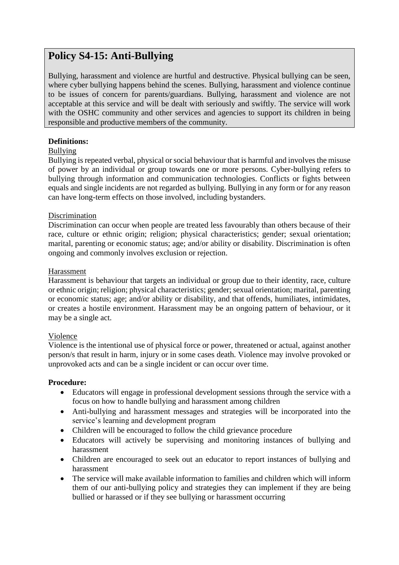## <span id="page-38-0"></span>**Policy S4-15: Anti-Bullying**

Bullying, harassment and violence are hurtful and destructive. Physical bullying can be seen, where cyber bullying happens behind the scenes. Bullying, harassment and violence continue to be issues of concern for parents/guardians. Bullying, harassment and violence are not acceptable at this service and will be dealt with seriously and swiftly. The service will work with the OSHC community and other services and agencies to support its children in being responsible and productive members of the community.

#### **Definitions:**

#### Bullying

Bullying is repeated verbal, physical or social behaviour that is harmful and involves the misuse of power by an individual or group towards one or more persons. Cyber-bullying refers to bullying through information and communication technologies. Conflicts or fights between equals and single incidents are not regarded as bullying. Bullying in any form or for any reason can have long-term effects on those involved, including bystanders.

#### Discrimination

Discrimination can occur when people are treated less favourably than others because of their race, culture or ethnic origin; religion; physical characteristics; gender; sexual orientation; marital, parenting or economic status; age; and/or ability or disability. Discrimination is often ongoing and commonly involves exclusion or rejection.

#### Harassment

Harassment is behaviour that targets an individual or group due to their identity, race, culture or ethnic origin; religion; physical characteristics; gender; sexual orientation; marital, parenting or economic status; age; and/or ability or disability, and that offends, humiliates, intimidates, or creates a hostile environment. Harassment may be an ongoing pattern of behaviour, or it may be a single act.

#### Violence

Violence is the intentional use of physical force or power, threatened or actual, against another person/s that result in harm, injury or in some cases death. Violence may involve provoked or unprovoked acts and can be a single incident or can occur over time.

- Educators will engage in professional development sessions through the service with a focus on how to handle bullying and harassment among children
- Anti-bullying and harassment messages and strategies will be incorporated into the service's learning and development program
- Children will be encouraged to follow the child grievance procedure
- Educators will actively be supervising and monitoring instances of bullying and harassment
- Children are encouraged to seek out an educator to report instances of bullying and harassment
- The service will make available information to families and children which will inform them of our anti-bullying policy and strategies they can implement if they are being bullied or harassed or if they see bullying or harassment occurring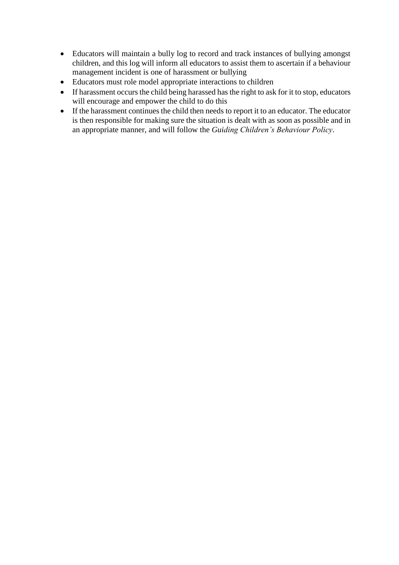- Educators will maintain a bully log to record and track instances of bullying amongst children, and this log will inform all educators to assist them to ascertain if a behaviour management incident is one of harassment or bullying
- Educators must role model appropriate interactions to children
- If harassment occurs the child being harassed has the right to ask for it to stop, educators will encourage and empower the child to do this
- If the harassment continues the child then needs to report it to an educator. The educator is then responsible for making sure the situation is dealt with as soon as possible and in an appropriate manner, and will follow the *Guiding Children's Behaviour Policy*.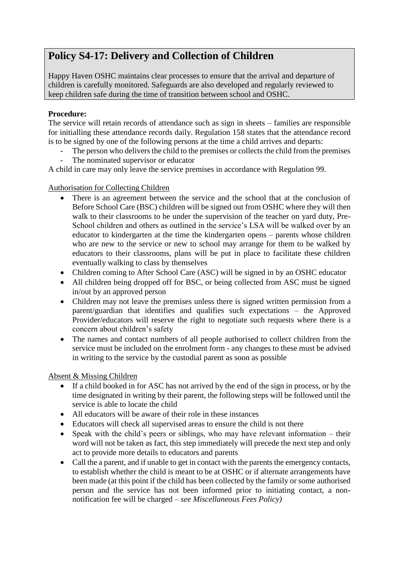## <span id="page-40-0"></span>**Policy S4-17: Delivery and Collection of Children**

Happy Haven OSHC maintains clear processes to ensure that the arrival and departure of children is carefully monitored. Safeguards are also developed and regularly reviewed to keep children safe during the time of transition between school and OSHC.

#### **Procedure:**

The service will retain records of attendance such as sign in sheets – families are responsible for initialling these attendance records daily. Regulation 158 states that the attendance record is to be signed by one of the following persons at the time a child arrives and departs:

- The person who delivers the child to the premises or collects the child from the premises
- The nominated supervisor or educator

A child in care may only leave the service premises in accordance with Regulation 99.

#### Authorisation for Collecting Children

- There is an agreement between the service and the school that at the conclusion of Before School Care (BSC) children will be signed out from OSHC where they will then walk to their classrooms to be under the supervision of the teacher on yard duty, Pre-School children and others as outlined in the service's LSA will be walked over by an educator to kindergarten at the time the kindergarten opens – parents whose children who are new to the service or new to school may arrange for them to be walked by educators to their classrooms, plans will be put in place to facilitate these children eventually walking to class by themselves
- Children coming to After School Care (ASC) will be signed in by an OSHC educator
- All children being dropped off for BSC, or being collected from ASC must be signed in/out by an approved person
- Children may not leave the premises unless there is signed written permission from a parent/guardian that identifies and qualifies such expectations – the Approved Provider/educators will reserve the right to negotiate such requests where there is a concern about children's safety
- The names and contact numbers of all people authorised to collect children from the service must be included on the enrolment form - any changes to these must be advised in writing to the service by the custodial parent as soon as possible

#### Absent & Missing Children

- If a child booked in for ASC has not arrived by the end of the sign in process, or by the time designated in writing by their parent, the following steps will be followed until the service is able to locate the child
- All educators will be aware of their role in these instances
- Educators will check all supervised areas to ensure the child is not there
- Speak with the child's peers or siblings, who may have relevant information their word will not be taken as fact, this step immediately will precede the next step and only act to provide more details to educators and parents
- Call the a parent, and if unable to get in contact with the parents the emergency contacts, to establish whether the child is meant to be at OSHC or if alternate arrangements have been made (at this point if the child has been collected by the family or some authorised person and the service has not been informed prior to initiating contact, a nonnotification fee will be charged – *see Miscellaneous Fees Policy)*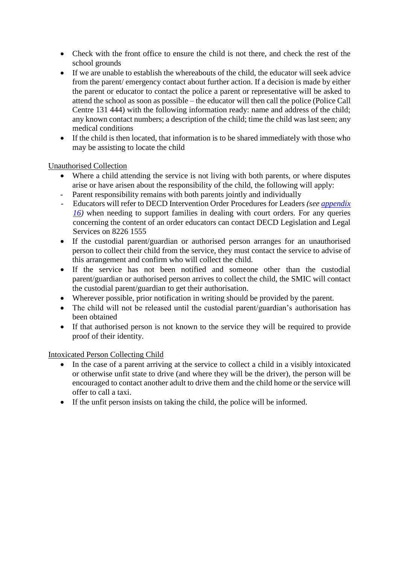- Check with the front office to ensure the child is not there, and check the rest of the school grounds
- If we are unable to establish the whereabouts of the child, the educator will seek advice from the parent/ emergency contact about further action. If a decision is made by either the parent or educator to contact the police a parent or representative will be asked to attend the school as soon as possible – the educator will then call the police (Police Call Centre 131 444) with the following information ready: name and address of the child; any known contact numbers; a description of the child; time the child was last seen; any medical conditions
- If the child is then located, that information is to be shared immediately with those who may be assisting to locate the child

#### Unauthorised Collection

- Where a child attending the service is not living with both parents, or where disputes arise or have arisen about the responsibility of the child, the following will apply:
- Parent responsibility remains with both parents jointly and individually
- Educators will refer to DECD Intervention Order Procedures for Leaders *(see [appendix](../Appendix/Appendix%2016%20-%20Intervention%20order%20procedures%20for%20leaders.pdf)  16*) when needing to support families in dealing with court orders. For any queries concerning the content of an order educators can contact DECD Legislation and Legal Services on 8226 1555
- If the custodial parent/guardian or authorised person arranges for an unauthorised person to collect their child from the service, they must contact the service to advise of this arrangement and confirm who will collect the child.
- If the service has not been notified and someone other than the custodial parent/guardian or authorised person arrives to collect the child, the SMIC will contact the custodial parent/guardian to get their authorisation.
- Wherever possible, prior notification in writing should be provided by the parent.
- The child will not be released until the custodial parent/guardian's authorisation has been obtained
- If that authorised person is not known to the service they will be required to provide proof of their identity.

#### Intoxicated Person Collecting Child

- In the case of a parent arriving at the service to collect a child in a visibly intoxicated or otherwise unfit state to drive (and where they will be the driver), the person will be encouraged to contact another adult to drive them and the child home or the service will offer to call a taxi.
- If the unfit person insists on taking the child, the police will be informed.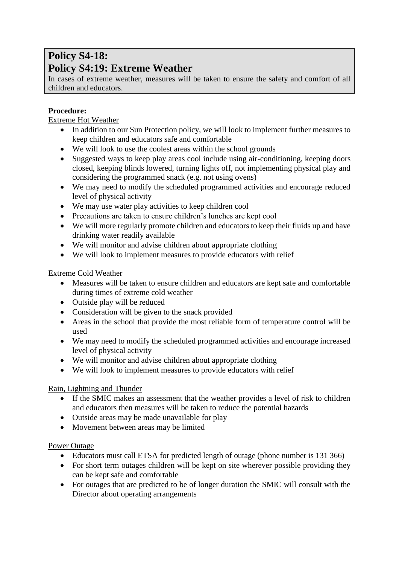## **Policy S4-18: Policy S4:19: Extreme Weather**

<span id="page-42-0"></span>In cases of extreme weather, measures will be taken to ensure the safety and comfort of all children and educators.

#### **Procedure:**

Extreme Hot Weather

- In addition to our Sun Protection policy, we will look to implement further measures to keep children and educators safe and comfortable
- We will look to use the coolest areas within the school grounds
- Suggested ways to keep play areas cool include using air-conditioning, keeping doors closed, keeping blinds lowered, turning lights off, not implementing physical play and considering the programmed snack (e.g. not using ovens)
- We may need to modify the scheduled programmed activities and encourage reduced level of physical activity
- We may use water play activities to keep children cool
- Precautions are taken to ensure children's lunches are kept cool
- We will more regularly promote children and educators to keep their fluids up and have drinking water readily available
- We will monitor and advise children about appropriate clothing
- We will look to implement measures to provide educators with relief

#### Extreme Cold Weather

- Measures will be taken to ensure children and educators are kept safe and comfortable during times of extreme cold weather
- Outside play will be reduced
- Consideration will be given to the snack provided
- Areas in the school that provide the most reliable form of temperature control will be used
- We may need to modify the scheduled programmed activities and encourage increased level of physical activity
- We will monitor and advise children about appropriate clothing
- We will look to implement measures to provide educators with relief

#### Rain, Lightning and Thunder

- If the SMIC makes an assessment that the weather provides a level of risk to children and educators then measures will be taken to reduce the potential hazards
- Outside areas may be made unavailable for play
- Movement between areas may be limited

#### Power Outage

- Educators must call ETSA for predicted length of outage (phone number is 131 366)
- For short term outages children will be kept on site wherever possible providing they can be kept safe and comfortable
- For outages that are predicted to be of longer duration the SMIC will consult with the Director about operating arrangements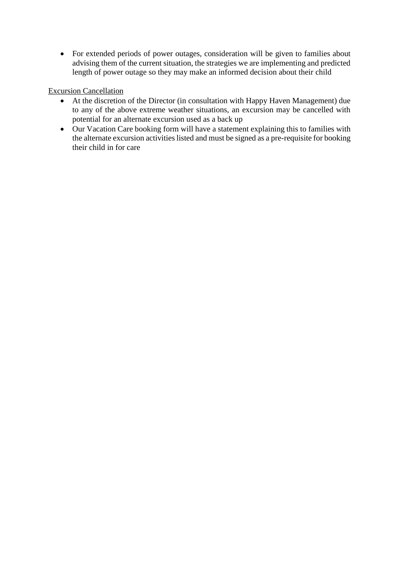• For extended periods of power outages, consideration will be given to families about advising them of the current situation, the strategies we are implementing and predicted length of power outage so they may make an informed decision about their child

#### Excursion Cancellation

- At the discretion of the Director (in consultation with Happy Haven Management) due to any of the above extreme weather situations, an excursion may be cancelled with potential for an alternate excursion used as a back up
- Our Vacation Care booking form will have a statement explaining this to families with the alternate excursion activities listed and must be signed as a pre-requisite for booking their child in for care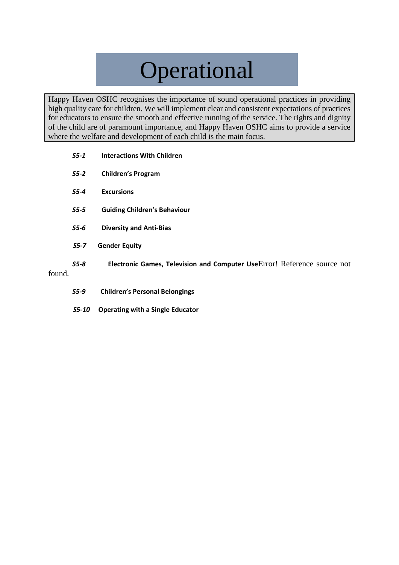# Operational

Happy Haven OSHC recognises the importance of sound operational practices in providing high quality care for children. We will implement clear and consistent expectations of practices for educators to ensure the smooth and effective running of the service. The rights and dignity of the child are of paramount importance, and Happy Haven OSHC aims to provide a service where the welfare and development of each child is the main focus.

- *S5-1* **[Interactions With Children](#page-45-0)**
- *S5-2* **[Children's Program](#page-46-0)**
- *S5-4* **[Excursions](#page-51-0)**
- *S5-5* **[Guiding Children's Behaviour](#page-54-0)**
- *S5-6* **[Diversity and Anti-Bias](#page-56-0)**
- *S5-7* **Gender Equity**
- *S5-8* **Electronic Games, Television and Computer Use**Error! Reference source not

found.

- *S5-9* **[Children's Personal Belongings](#page-60-0)**
- *S5-10* **Operating with a Single Educator**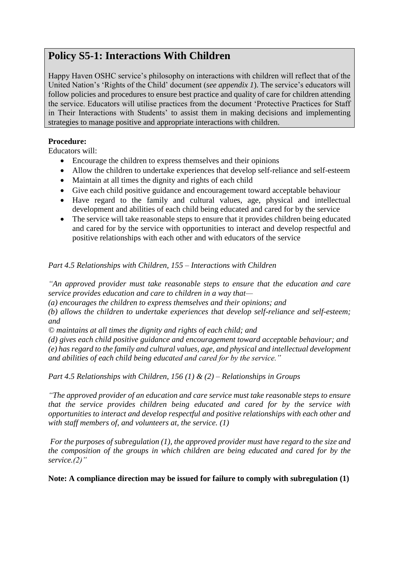## <span id="page-45-0"></span>**Policy S5-1: Interactions With Children**

Happy Haven OSHC service's philosophy on interactions with children will reflect that of the United Nation's 'Rights of the Child' document (*see appendix 1*). The service's educators will follow policies and procedures to ensure best practice and quality of care for children attending the service. Educators will utilise practices from the document 'Protective Practices for Staff in Their Interactions with Students' to assist them in making decisions and implementing strategies to manage positive and appropriate interactions with children.

#### **Procedure:**

Educators will:

- Encourage the children to express themselves and their opinions
- Allow the children to undertake experiences that develop self-reliance and self-esteem
- Maintain at all times the dignity and rights of each child
- Give each child positive guidance and encouragement toward acceptable behaviour
- Have regard to the family and cultural values, age, physical and intellectual development and abilities of each child being educated and cared for by the service
- The service will take reasonable steps to ensure that it provides children being educated and cared for by the service with opportunities to interact and develop respectful and positive relationships with each other and with educators of the service

*Part 4.5 Relationships with Children, 155 – Interactions with Children*

*"An approved provider must take reasonable steps to ensure that the education and care service provides education and care to children in a way that—*

*(a) encourages the children to express themselves and their opinions; and*

*(b) allows the children to undertake experiences that develop self-reliance and self-esteem; and*

*© maintains at all times the dignity and rights of each child; and*

*(d) gives each child positive guidance and encouragement toward acceptable behaviour; and (e) has regard to the family and cultural values, age, and physical and intellectual development and abilities of each child being educated and cared for by the service."*

*Part 4.5 Relationships with Children, 156 (1) & (2) – Relationships in Groups*

*"The approved provider of an education and care service must take reasonable steps to ensure that the service provides children being educated and cared for by the service with opportunities to interact and develop respectful and positive relationships with each other and with staff members of, and volunteers at, the service. (1)*

*For the purposes of subregulation (1), the approved provider must have regard to the size and the composition of the groups in which children are being educated and cared for by the service.(2)"*

**Note: A compliance direction may be issued for failure to comply with subregulation (1)**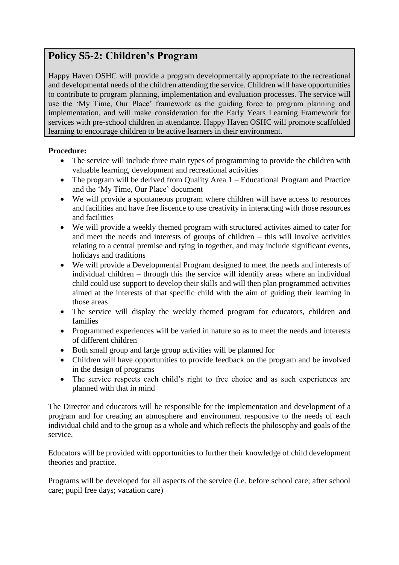## <span id="page-46-0"></span>**Policy S5-2: Children's Program**

Happy Haven OSHC will provide a program developmentally appropriate to the recreational and developmental needs of the children attending the service. Children will have opportunities to contribute to program planning, implementation and evaluation processes. The service will use the 'My Time, Our Place' framework as the guiding force to program planning and implementation, and will make consideration for the Early Years Learning Framework for services with pre-school children in attendance. Happy Haven OSHC will promote scaffolded learning to encourage children to be active learners in their environment.

#### **Procedure:**

- The service will include three main types of programming to provide the children with valuable learning, development and recreational activities
- The program will be derived from Quality Area 1 Educational Program and Practice and the 'My Time, Our Place' document
- We will provide a spontaneous program where children will have access to resources and facilities and have free liscence to use creativity in interacting with those resources and facilities
- We will provide a weekly themed program with structured activites aimed to cater for and meet the needs and interests of groups of children – this will involve activities relating to a central premise and tying in together, and may include significant events, holidays and traditions
- We will provide a Developmental Program designed to meet the needs and interests of individual children – through this the service will identify areas where an individual child could use support to develop their skills and will then plan programmed activities aimed at the interests of that specific child with the aim of guiding their learning in those areas
- The service will display the weekly themed program for educators, children and families
- Programmed experiences will be varied in nature so as to meet the needs and interests of different children
- Both small group and large group activities will be planned for
- Children will have opportunities to provide feedback on the program and be involved in the design of programs
- The service respects each child's right to free choice and as such experiences are planned with that in mind

The Director and educators will be responsible for the implementation and development of a program and for creating an atmosphere and environment responsive to the needs of each individual child and to the group as a whole and which reflects the philosophy and goals of the service.

Educators will be provided with opportunities to further their knowledge of child development theories and practice.

Programs will be developed for all aspects of the service (i.e. before school care; after school care; pupil free days; vacation care)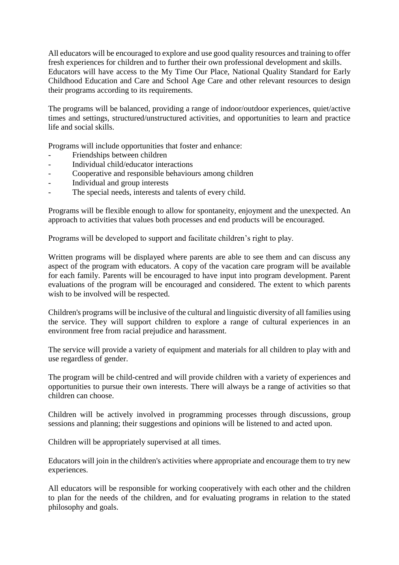All educators will be encouraged to explore and use good quality resources and training to offer fresh experiences for children and to further their own professional development and skills. Educators will have access to the My Time Our Place, National Quality Standard for Early Childhood Education and Care and School Age Care and other relevant resources to design their programs according to its requirements.

The programs will be balanced, providing a range of indoor/outdoor experiences, quiet/active times and settings, structured/unstructured activities, and opportunities to learn and practice life and social skills.

Programs will include opportunities that foster and enhance:

- Friendships between children
- Individual child/educator interactions
- Cooperative and responsible behaviours among children
- Individual and group interests
- The special needs, interests and talents of every child.

Programs will be flexible enough to allow for spontaneity, enjoyment and the unexpected. An approach to activities that values both processes and end products will be encouraged.

Programs will be developed to support and facilitate children's right to play.

Written programs will be displayed where parents are able to see them and can discuss any aspect of the program with educators. A copy of the vacation care program will be available for each family. Parents will be encouraged to have input into program development. Parent evaluations of the program will be encouraged and considered. The extent to which parents wish to be involved will be respected.

Children's programs will be inclusive of the cultural and linguistic diversity of all families using the service. They will support children to explore a range of cultural experiences in an environment free from racial prejudice and harassment.

The service will provide a variety of equipment and materials for all children to play with and use regardless of gender.

The program will be child-centred and will provide children with a variety of experiences and opportunities to pursue their own interests. There will always be a range of activities so that children can choose.

Children will be actively involved in programming processes through discussions, group sessions and planning; their suggestions and opinions will be listened to and acted upon.

Children will be appropriately supervised at all times.

Educators will join in the children's activities where appropriate and encourage them to try new experiences.

All educators will be responsible for working cooperatively with each other and the children to plan for the needs of the children, and for evaluating programs in relation to the stated philosophy and goals.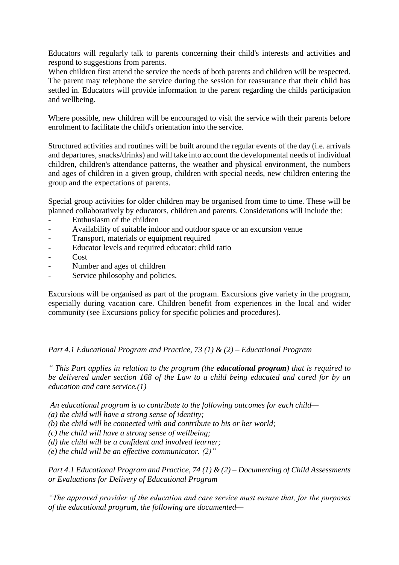Educators will regularly talk to parents concerning their child's interests and activities and respond to suggestions from parents.

When children first attend the service the needs of both parents and children will be respected. The parent may telephone the service during the session for reassurance that their child has settled in. Educators will provide information to the parent regarding the childs participation and wellbeing.

Where possible, new children will be encouraged to visit the service with their parents before enrolment to facilitate the child's orientation into the service.

Structured activities and routines will be built around the regular events of the day (i.e. arrivals and departures, snacks/drinks) and will take into account the developmental needs of individual children, children's attendance patterns, the weather and physical environment, the numbers and ages of children in a given group, children with special needs, new children entering the group and the expectations of parents.

Special group activities for older children may be organised from time to time. These will be planned collaboratively by educators, children and parents. Considerations will include the:

- Enthusiasm of the children
- Availability of suitable indoor and outdoor space or an excursion venue
- Transport, materials or equipment required
- Educator levels and required educator: child ratio
- Cost
- Number and ages of children
- Service philosophy and policies.

Excursions will be organised as part of the program. Excursions give variety in the program, especially during vacation care. Children benefit from experiences in the local and wider community (see Excursions policy for specific policies and procedures).

#### *Part 4.1 Educational Program and Practice, 73 (1) & (2) – Educational Program*

*" This Part applies in relation to the program (the educational program) that is required to be delivered under section 168 of the Law to a child being educated and cared for by an education and care service.(1)*

*An educational program is to contribute to the following outcomes for each child—*

*(a) the child will have a strong sense of identity;*

*(b) the child will be connected with and contribute to his or her world;*

*(c) the child will have a strong sense of wellbeing;*

*(d) the child will be a confident and involved learner;*

*(e) the child will be an effective communicator. (2)"*

*Part 4.1 Educational Program and Practice, 74 (1) & (2) – Documenting of Child Assessments or Evaluations for Delivery of Educational Program*

*"The approved provider of the education and care service must ensure that, for the purposes of the educational program, the following are documented—*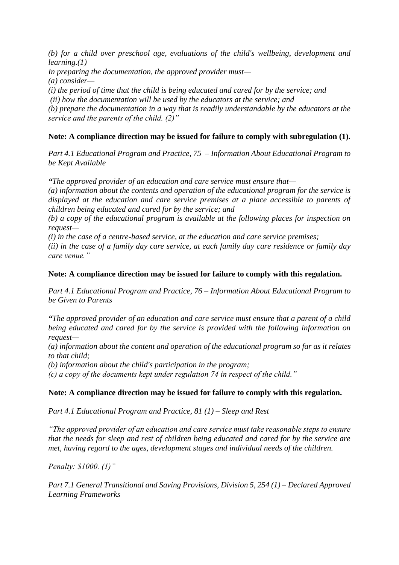*(b) for a child over preschool age, evaluations of the child's wellbeing, development and learning.(1)*

*In preparing the documentation, the approved provider must—*

*(a) consider—*

*(i) the period of time that the child is being educated and cared for by the service; and*

*(ii) how the documentation will be used by the educators at the service; and*

*(b) prepare the documentation in a way that is readily understandable by the educators at the service and the parents of the child. (2)"*

#### **Note: A compliance direction may be issued for failure to comply with subregulation (1).**

*Part 4.1 Educational Program and Practice, 75 – Information About Educational Program to be Kept Available*

*"The approved provider of an education and care service must ensure that—*

*(a) information about the contents and operation of the educational program for the service is displayed at the education and care service premises at a place accessible to parents of children being educated and cared for by the service; and* 

*(b) a copy of the educational program is available at the following places for inspection on request—*

*(i) in the case of a centre-based service, at the education and care service premises;* 

*(ii) in the case of a family day care service, at each family day care residence or family day care venue."*

#### **Note: A compliance direction may be issued for failure to comply with this regulation.**

*Part 4.1 Educational Program and Practice, 76 – Information About Educational Program to be Given to Parents*

*"The approved provider of an education and care service must ensure that a parent of a child being educated and cared for by the service is provided with the following information on request—*

*(a) information about the content and operation of the educational program so far as it relates to that child;* 

*(b) information about the child's participation in the program;* 

*(c) a copy of the documents kept under regulation 74 in respect of the child."*

#### **Note: A compliance direction may be issued for failure to comply with this regulation.**

*Part 4.1 Educational Program and Practice, 81 (1) – Sleep and Rest*

*"The approved provider of an education and care service must take reasonable steps to ensure that the needs for sleep and rest of children being educated and cared for by the service are met, having regard to the ages, development stages and individual needs of the children.* 

*Penalty: \$1000. (1)"*

*Part 7.1 General Transitional and Saving Provisions, Division 5, 254 (1) – Declared Approved Learning Frameworks*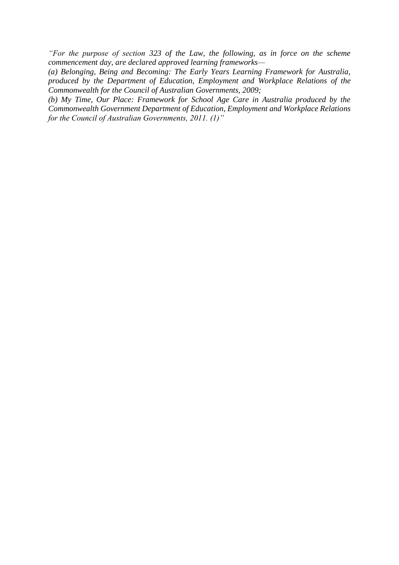*"For the purpose of section 323 of the Law, the following, as in force on the scheme commencement day, are declared approved learning frameworks—*

*(a) Belonging, Being and Becoming: The Early Years Learning Framework for Australia, produced by the Department of Education, Employment and Workplace Relations of the Commonwealth for the Council of Australian Governments, 2009;*

*(b) My Time, Our Place: Framework for School Age Care in Australia produced by the Commonwealth Government Department of Education, Employment and Workplace Relations for the Council of Australian Governments, 2011. (1)"*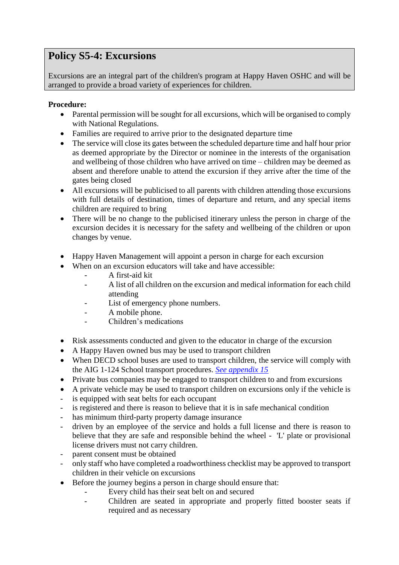## <span id="page-51-0"></span>**Policy S5-4: Excursions**

Excursions are an integral part of the children's program at Happy Haven OSHC and will be arranged to provide a broad variety of experiences for children.

- Parental permission will be sought for all excursions, which will be organised to comply with National Regulations.
- Families are required to arrive prior to the designated departure time
- The service will close its gates between the scheduled departure time and half hour prior as deemed appropriate by the Director or nominee in the interests of the organisation and wellbeing of those children who have arrived on time – children may be deemed as absent and therefore unable to attend the excursion if they arrive after the time of the gates being closed
- All excursions will be publicised to all parents with children attending those excursions with full details of destination, times of departure and return, and any special items children are required to bring
- There will be no change to the publicised itinerary unless the person in charge of the excursion decides it is necessary for the safety and wellbeing of the children or upon changes by venue.
- Happy Haven Management will appoint a person in charge for each excursion
- When on an excursion educators will take and have accessible:
	- A first-aid kit
	- A list of all children on the excursion and medical information for each child attending
	- List of emergency phone numbers.
	- A mobile phone.
	- Children's medications
- Risk assessments conducted and given to the educator in charge of the excursion
- A Happy Haven owned bus may be used to transport children
- When DECD school buses are used to transport children, the service will comply with the AIG 1-124 School transport procedures. *[See appendix 15](../Appendix/Appendix%2015%20-%20School%20Transport.tmp.pdf)*
- Private bus companies may be engaged to transport children to and from excursions
- A private vehicle may be used to transport children on excursions only if the vehicle is
- is equipped with seat belts for each occupant
- is registered and there is reason to believe that it is in safe mechanical condition
- has minimum third-party property damage insurance
- driven by an employee of the service and holds a full license and there is reason to believe that they are safe and responsible behind the wheel - 'L' plate or provisional license drivers must not carry children.
- parent consent must be obtained
- only staff who have completed a roadworthiness checklist may be approved to transport children in their vehicle on excursions
- Before the journey begins a person in charge should ensure that:
	- Every child has their seat belt on and secured
	- Children are seated in appropriate and properly fitted booster seats if required and as necessary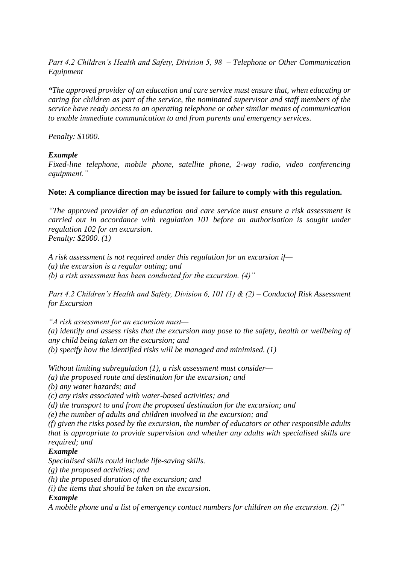*Part 4.2 Children's Health and Safety, Division 5, 98 – Telephone or Other Communication Equipment*

*"The approved provider of an education and care service must ensure that, when educating or caring for children as part of the service, the nominated supervisor and staff members of the service have ready access to an operating telephone or other similar means of communication to enable immediate communication to and from parents and emergency services.* 

*Penalty: \$1000.* 

#### *Example*

*Fixed-line telephone, mobile phone, satellite phone, 2-way radio, video conferencing equipment."*

#### **Note: A compliance direction may be issued for failure to comply with this regulation.**

*"The approved provider of an education and care service must ensure a risk assessment is carried out in accordance with regulation 101 before an authorisation is sought under regulation 102 for an excursion.* 

*Penalty: \$2000. (1)*

*A risk assessment is not required under this regulation for an excursion if— (a) the excursion is a regular outing; and (b) a risk assessment has been conducted for the excursion. (4)"*

*Part 4.2 Children's Health and Safety, Division 6, 101 (1) & (2) – Conductof Risk Assessment for Excursion*

*"A risk assessment for an excursion must— (a) identify and assess risks that the excursion may pose to the safety, health or wellbeing of any child being taken on the excursion; and (b) specify how the identified risks will be managed and minimised. (1)*

*Without limiting subregulation (1), a risk assessment must consider—*

*(a) the proposed route and destination for the excursion; and*

*(b) any water hazards; and*

*(c) any risks associated with water-based activities; and*

*(d) the transport to and from the proposed destination for the excursion; and*

*(e) the number of adults and children involved in the excursion; and*

*(f) given the risks posed by the excursion, the number of educators or other responsible adults that is appropriate to provide supervision and whether any adults with specialised skills are required; and*

#### *Example*

*Specialised skills could include life-saving skills.*

*(g) the proposed activities; and*

*(h) the proposed duration of the excursion; and*

*(i) the items that should be taken on the excursion.*

#### *Example*

*A mobile phone and a list of emergency contact numbers for children on the excursion. (2)"*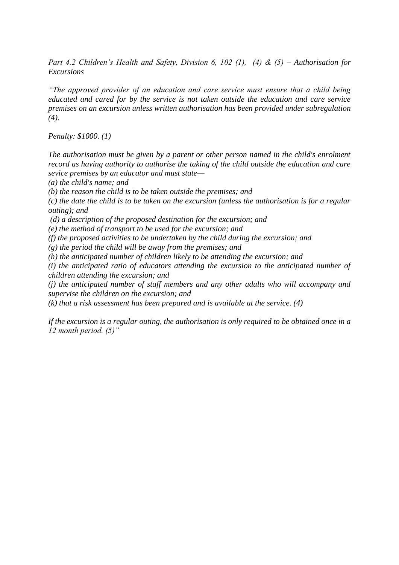*Part 4.2 Children's Health and Safety, Division 6, 102 (1), (4) & (5) – Authorisation for Excursions*

*"The approved provider of an education and care service must ensure that a child being educated and cared for by the service is not taken outside the education and care service premises on an excursion unless written authorisation has been provided under subregulation (4).* 

*Penalty: \$1000. (1)*

*The authorisation must be given by a parent or other person named in the child's enrolment record as having authority to authorise the taking of the child outside the education and care sevice premises by an educator and must state—*

*(a) the child's name; and*

*(b) the reason the child is to be taken outside the premises; and*

*(c) the date the child is to be taken on the excursion (unless the authorisation is for a regular outing); and*

*(d) a description of the proposed destination for the excursion; and*

*(e) the method of transport to be used for the excursion; and*

*(f) the proposed activities to be undertaken by the child during the excursion; and*

*(g) the period the child will be away from the premises; and*

*(h) the anticipated number of children likely to be attending the excursion; and*

*(i) the anticipated ratio of educators attending the excursion to the anticipated number of children attending the excursion; and*

*(j) the anticipated number of staff members and any other adults who will accompany and supervise the children on the excursion; and*

*(k) that a risk assessment has been prepared and is available at the service. (4)*

*If the excursion is a regular outing, the authorisation is only required to be obtained once in a 12 month period. (5)"*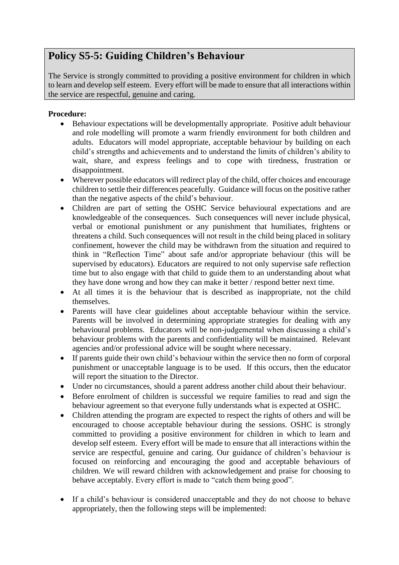## <span id="page-54-0"></span>**Policy S5-5: Guiding Children's Behaviour**

The Service is strongly committed to providing a positive environment for children in which to learn and develop self esteem. Every effort will be made to ensure that all interactions within the service are respectful, genuine and caring.

- Behaviour expectations will be developmentally appropriate. Positive adult behaviour and role modelling will promote a warm friendly environment for both children and adults. Educators will model appropriate, acceptable behaviour by building on each child's strengths and achievements and to understand the limits of children's ability to wait, share, and express feelings and to cope with tiredness, frustration or disappointment.
- Wherever possible educators will redirect play of the child, offer choices and encourage children to settle their differences peacefully. Guidance will focus on the positive rather than the negative aspects of the child's behaviour.
- Children are part of setting the OSHC Service behavioural expectations and are knowledgeable of the consequences. Such consequences will never include physical, verbal or emotional punishment or any punishment that humiliates, frightens or threatens a child. Such consequences will not result in the child being placed in solitary confinement, however the child may be withdrawn from the situation and required to think in "Reflection Time" about safe and/or appropriate behaviour (this will be supervised by educators). Educators are required to not only supervise safe reflection time but to also engage with that child to guide them to an understanding about what they have done wrong and how they can make it better / respond better next time.
- At all times it is the behaviour that is described as inappropriate, not the child themselves.
- Parents will have clear guidelines about acceptable behaviour within the service. Parents will be involved in determining appropriate strategies for dealing with any behavioural problems. Educators will be non-judgemental when discussing a child's behaviour problems with the parents and confidentiality will be maintained. Relevant agencies and/or professional advice will be sought where necessary.
- If parents guide their own child's behaviour within the service then no form of corporal punishment or unacceptable language is to be used. If this occurs, then the educator will report the situation to the Director.
- Under no circumstances, should a parent address another child about their behaviour.
- Before enrolment of children is successful we require families to read and sign the behaviour agreement so that everyone fully understands what is expected at OSHC.
- Children attending the program are expected to respect the rights of others and will be encouraged to choose acceptable behaviour during the sessions. OSHC is strongly committed to providing a positive environment for children in which to learn and develop self esteem. Every effort will be made to ensure that all interactions within the service are respectful, genuine and caring. Our guidance of children's behaviour is focused on reinforcing and encouraging the good and acceptable behaviours of children. We will reward children with acknowledgement and praise for choosing to behave acceptably. Every effort is made to "catch them being good".
- If a child's behaviour is considered unacceptable and they do not choose to behave appropriately, then the following steps will be implemented: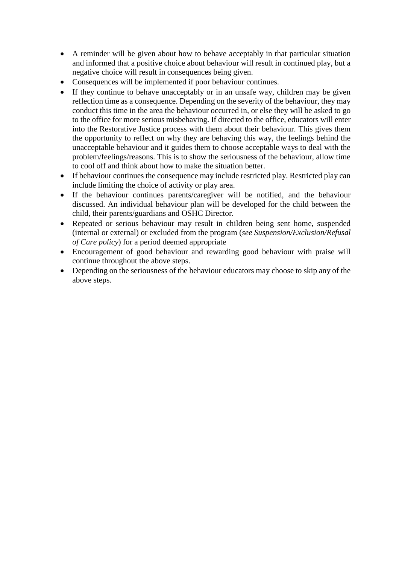- A reminder will be given about how to behave acceptably in that particular situation and informed that a positive choice about behaviour will result in continued play, but a negative choice will result in consequences being given.
- Consequences will be implemented if poor behaviour continues.
- If they continue to behave unacceptably or in an unsafe way, children may be given reflection time as a consequence. Depending on the severity of the behaviour, they may conduct this time in the area the behaviour occurred in, or else they will be asked to go to the office for more serious misbehaving. If directed to the office, educators will enter into the Restorative Justice process with them about their behaviour. This gives them the opportunity to reflect on why they are behaving this way, the feelings behind the unacceptable behaviour and it guides them to choose acceptable ways to deal with the problem/feelings/reasons. This is to show the seriousness of the behaviour, allow time to cool off and think about how to make the situation better.
- If behaviour continues the consequence may include restricted play. Restricted play can include limiting the choice of activity or play area.
- If the behaviour continues parents/caregiver will be notified, and the behaviour discussed. An individual behaviour plan will be developed for the child between the child, their parents/guardians and OSHC Director.
- Repeated or serious behaviour may result in children being sent home, suspended (internal or external) or excluded from the program (*see Suspension/Exclusion/Refusal of Care policy*) for a period deemed appropriate
- Encouragement of good behaviour and rewarding good behaviour with praise will continue throughout the above steps.
- Depending on the seriousness of the behaviour educators may choose to skip any of the above steps.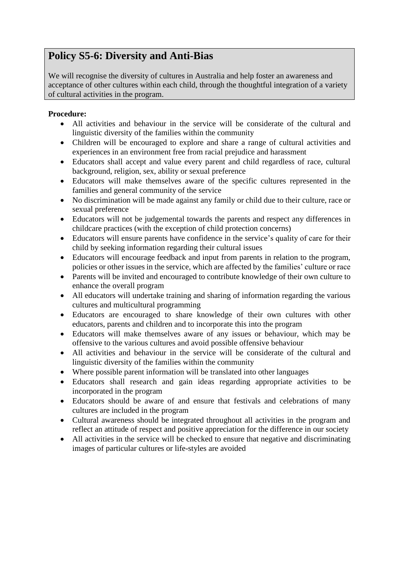## <span id="page-56-0"></span>**Policy S5-6: Diversity and Anti-Bias**

We will recognise the diversity of cultures in Australia and help foster an awareness and acceptance of other cultures within each child, through the thoughtful integration of a variety of cultural activities in the program.

- All activities and behaviour in the service will be considerate of the cultural and linguistic diversity of the families within the community
- Children will be encouraged to explore and share a range of cultural activities and experiences in an environment free from racial prejudice and harassment
- Educators shall accept and value every parent and child regardless of race, cultural background, religion, sex, ability or sexual preference
- Educators will make themselves aware of the specific cultures represented in the families and general community of the service
- No discrimination will be made against any family or child due to their culture, race or sexual preference
- Educators will not be judgemental towards the parents and respect any differences in childcare practices (with the exception of child protection concerns)
- Educators will ensure parents have confidence in the service's quality of care for their child by seeking information regarding their cultural issues
- Educators will encourage feedback and input from parents in relation to the program, policies or other issues in the service, which are affected by the families' culture or race
- Parents will be invited and encouraged to contribute knowledge of their own culture to enhance the overall program
- All educators will undertake training and sharing of information regarding the various cultures and multicultural programming
- Educators are encouraged to share knowledge of their own cultures with other educators, parents and children and to incorporate this into the program
- Educators will make themselves aware of any issues or behaviour, which may be offensive to the various cultures and avoid possible offensive behaviour
- All activities and behaviour in the service will be considerate of the cultural and linguistic diversity of the families within the community
- Where possible parent information will be translated into other languages
- Educators shall research and gain ideas regarding appropriate activities to be incorporated in the program
- Educators should be aware of and ensure that festivals and celebrations of many cultures are included in the program
- Cultural awareness should be integrated throughout all activities in the program and reflect an attitude of respect and positive appreciation for the difference in our society
- All activities in the service will be checked to ensure that negative and discriminating images of particular cultures or life-styles are avoided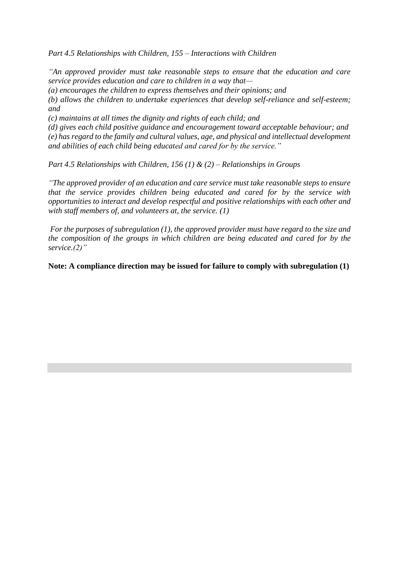*Part 4.5 Relationships with Children, 155 – Interactions with Children*

*"An approved provider must take reasonable steps to ensure that the education and care service provides education and care to children in a way that—*

*(a) encourages the children to express themselves and their opinions; and*

*(b) allows the children to undertake experiences that develop self-reliance and self-esteem; and*

*(c) maintains at all times the dignity and rights of each child; and*

*(d) gives each child positive guidance and encouragement toward acceptable behaviour; and (e) has regard to the family and cultural values, age, and physical and intellectual development and abilities of each child being educated and cared for by the service."*

*Part 4.5 Relationships with Children, 156 (1) & (2) – Relationships in Groups*

*"The approved provider of an education and care service must take reasonable steps to ensure that the service provides children being educated and cared for by the service with opportunities to interact and develop respectful and positive relationships with each other and with staff members of, and volunteers at, the service. (1)*

*For the purposes of subregulation (1), the approved provider must have regard to the size and the composition of the groups in which children are being educated and cared for by the service.(2)"*

**Note: A compliance direction may be issued for failure to comply with subregulation (1)**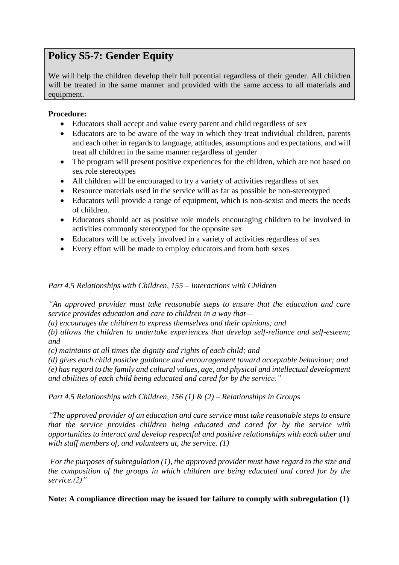## **Policy S5-7: Gender Equity**

We will help the children develop their full potential regardless of their gender. All children will be treated in the same manner and provided with the same access to all materials and equipment.

#### **Procedure:**

- Educators shall accept and value every parent and child regardless of sex
- Educators are to be aware of the way in which they treat individual children, parents and each other in regards to language, attitudes, assumptions and expectations, and will treat all children in the same manner regardless of gender
- The program will present positive experiences for the children, which are not based on sex role stereotypes
- All children will be encouraged to try a variety of activities regardless of sex
- Resource materials used in the service will as far as possible be non-stereotyped
- Educators will provide a range of equipment, which is non-sexist and meets the needs of children.
- Educators should act as positive role models encouraging children to be involved in activities commonly stereotyped for the opposite sex
- Educators will be actively involved in a variety of activities regardless of sex
- Every effort will be made to employ educators and from both sexes

*Part 4.5 Relationships with Children, 155 – Interactions with Children*

*"An approved provider must take reasonable steps to ensure that the education and care service provides education and care to children in a way that—*

*(a) encourages the children to express themselves and their opinions; and*

*(b) allows the children to undertake experiences that develop self-reliance and self-esteem; and*

*(c) maintains at all times the dignity and rights of each child; and*

*(d) gives each child positive guidance and encouragement toward acceptable behaviour; and (e) has regard to the family and cultural values, age, and physical and intellectual development and abilities of each child being educated and cared for by the service."*

*Part 4.5 Relationships with Children, 156 (1) & (2) – Relationships in Groups*

*"The approved provider of an education and care service must take reasonable steps to ensure that the service provides children being educated and cared for by the service with opportunities to interact and develop respectful and positive relationships with each other and with staff members of, and volunteers at, the service. (1)*

*For the purposes of subregulation (1), the approved provider must have regard to the size and the composition of the groups in which children are being educated and cared for by the service.(2)"*

**Note: A compliance direction may be issued for failure to comply with subregulation (1)**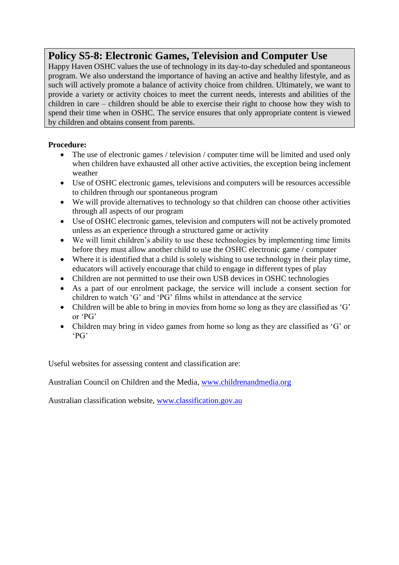## **Policy S5-8: Electronic Games, Television and Computer Use**

Happy Haven OSHC values the use of technology in its day-to-day scheduled and spontaneous program. We also understand the importance of having an active and healthy lifestyle, and as such will actively promote a balance of activity choice from children. Ultimately, we want to provide a variety or activity choices to meet the current needs, interests and abilities of the children in care – children should be able to exercise their right to choose how they wish to spend their time when in OSHC. The service ensures that only appropriate content is viewed by children and obtains consent from parents.

#### **Procedure:**

- The use of electronic games / television / computer time will be limited and used only when children have exhausted all other active activities, the exception being inclement weather
- Use of OSHC electronic games, televisions and computers will be resources accessible to children through our spontaneous program
- We will provide alternatives to technology so that children can choose other activities through all aspects of our program
- Use of OSHC electronic games, television and computers will not be actively promoted unless as an experience through a structured game or activity
- We will limit children's ability to use these technologies by implementing time limits before they must allow another child to use the OSHC electronic game / computer
- Where it is identified that a child is solely wishing to use technology in their play time, educators will actively encourage that child to engage in different types of play
- Children are not permitted to use their own USB devices in OSHC technologies
- As a part of our enrolment package, the service will include a consent section for children to watch 'G' and 'PG' films whilst in attendance at the service
- Children will be able to bring in movies from home so long as they are classified as 'G' or 'PG'
- Children may bring in video games from home so long as they are classified as 'G' or 'PG'

Useful websites for assessing content and classification are:

Australian Council on Children and the Media, [www.childrenandmedia.org](http://www.childrenandmedia.org/)

Australian classification website, [www.classification.gov.au](http://www.classification.gov.au/)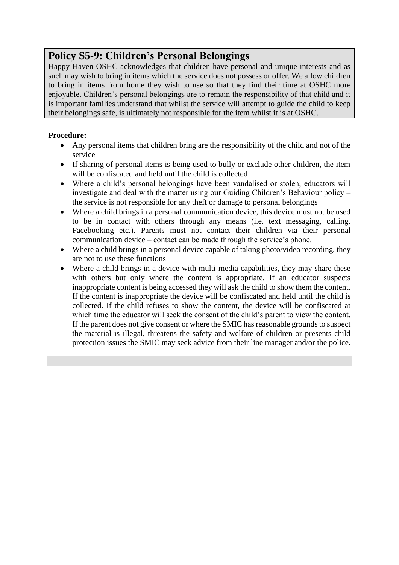## <span id="page-60-0"></span>**Policy S5-9: Children's Personal Belongings**

Happy Haven OSHC acknowledges that children have personal and unique interests and as such may wish to bring in items which the service does not possess or offer. We allow children to bring in items from home they wish to use so that they find their time at OSHC more enjoyable. Children's personal belongings are to remain the responsibility of that child and it is important families understand that whilst the service will attempt to guide the child to keep their belongings safe, is ultimately not responsible for the item whilst it is at OSHC.

- Any personal items that children bring are the responsibility of the child and not of the service
- If sharing of personal items is being used to bully or exclude other children, the item will be confiscated and held until the child is collected
- Where a child's personal belongings have been vandalised or stolen, educators will investigate and deal with the matter using our Guiding Children's Behaviour policy – the service is not responsible for any theft or damage to personal belongings
- Where a child brings in a personal communication device, this device must not be used to be in contact with others through any means (i.e. text messaging, calling, Facebooking etc.). Parents must not contact their children via their personal communication device – contact can be made through the service's phone.
- Where a child brings in a personal device capable of taking photo/video recording, they are not to use these functions
- Where a child brings in a device with multi-media capabilities, they may share these with others but only where the content is appropriate. If an educator suspects inappropriate content is being accessed they will ask the child to show them the content. If the content is inappropriate the device will be confiscated and held until the child is collected. If the child refuses to show the content, the device will be confiscated at which time the educator will seek the consent of the child's parent to view the content. If the parent does not give consent or where the SMIC has reasonable grounds to suspect the material is illegal, threatens the safety and welfare of children or presents child protection issues the SMIC may seek advice from their line manager and/or the police.